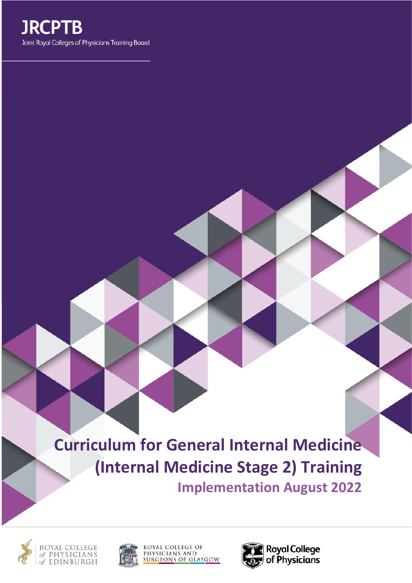

**Curriculum for General Internal Medicine (Internal Medicine Stage 2) Training Implementation August 2022**





ROYAL COLLEGE OF PHYSICIANS AND **SURGEONS OF GLASGOW** 

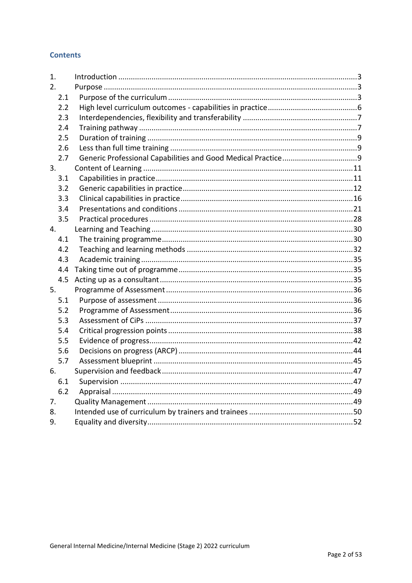# **Contents**

| 1.  |  |
|-----|--|
| 2.  |  |
| 2.1 |  |
| 2.2 |  |
| 2.3 |  |
| 2.4 |  |
| 2.5 |  |
| 2.6 |  |
| 2.7 |  |
| 3.  |  |
| 3.1 |  |
| 3.2 |  |
| 3.3 |  |
| 3.4 |  |
| 3.5 |  |
| 4.  |  |
| 4.1 |  |
| 4.2 |  |
| 4.3 |  |
| 4.4 |  |
| 4.5 |  |
| 5.  |  |
| 5.1 |  |
| 5.2 |  |
| 5.3 |  |
| 5.4 |  |
| 5.5 |  |
| 5.6 |  |
| 5.7 |  |
| 6.  |  |
| 6.1 |  |
| 6.2 |  |
| 7.  |  |
| 8.  |  |
| 9.  |  |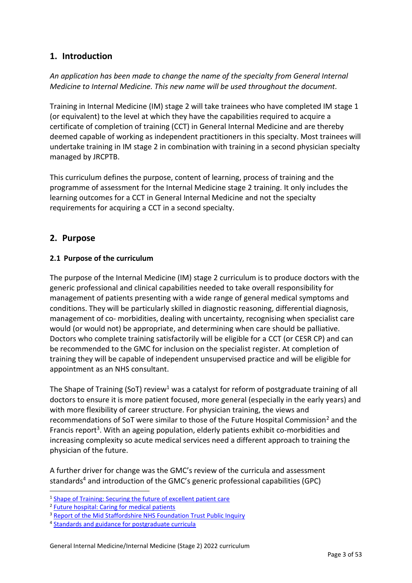# <span id="page-2-0"></span>**1. Introduction**

*An application has been made to change the name of the specialty from General Internal Medicine to Internal Medicine. This new name will be used throughout the document.*

Training in Internal Medicine (IM) stage 2 will take trainees who have completed IM stage 1 (or equivalent) to the level at which they have the capabilities required to acquire a certificate of completion of training (CCT) in General Internal Medicine and are thereby deemed capable of working as independent practitioners in this specialty. Most trainees will undertake training in IM stage 2 in combination with training in a second physician specialty managed by JRCPTB.

This curriculum defines the purpose, content of learning, process of training and the programme of assessment for the Internal Medicine stage 2 training. It only includes the learning outcomes for a CCT in General Internal Medicine and not the specialty requirements for acquiring a CCT in a second specialty.

# <span id="page-2-1"></span>**2. Purpose**

# <span id="page-2-2"></span>**2.1 Purpose of the curriculum**

The purpose of the Internal Medicine (IM) stage 2 curriculum is to produce doctors with the generic professional and clinical capabilities needed to take overall responsibility for management of patients presenting with a wide range of general medical symptoms and conditions. They will be particularly skilled in diagnostic reasoning, differential diagnosis, management of co- morbidities, dealing with uncertainty, recognising when specialist care would (or would not) be appropriate, and determining when care should be palliative. Doctors who complete training satisfactorily will be eligible for a CCT (or CESR CP) and can be recommended to the GMC for inclusion on the specialist register. At completion of training they will be capable of independent unsupervised practice and will be eligible for appointment as an NHS consultant.

The Shape of Training (SoT) review<sup>1</sup> was a catalyst for reform of postgraduate training of all doctors to ensure it is more patient focused, more general (especially in the early years) and with more flexibility of career structure. For physician training, the views and recommendations of SoT were similar to those of the Future Hospital Commission<sup>2</sup> and the Francis report<sup>3</sup>. With an ageing population, elderly patients exhibit co-morbidities and increasing complexity so acute medical services need a different approach to training the physician of the future.

A further driver for change was the GMC's review of the curricula and assessment standards<sup>4</sup> and introduction of the GMC's generic professional capabilities (GPC)

<sup>&</sup>lt;sup>1</sup> [Shape of Training: Securing the future of excellent patient care](http://www.shapeoftraining.co.uk/static/documents/content/Shape_of_training_FINAL_Report.pdf_53977887.pdf)

<sup>&</sup>lt;sup>2</sup> [Future hospital: Caring for medical patients](https://www.rcplondon.ac.uk/projects/outputs/future-hospital-commission)

<sup>&</sup>lt;sup>3</sup> [Report of the Mid Staffordshire NHS Foundation Trust Public Inquiry](http://webarchive.nationalarchives.gov.uk/20150407084003/http:/www.midstaffspublicinquiry.com/report)

<sup>&</sup>lt;sup>4</sup> [Standards and guidance for postgraduate curricula](http://www.gmc-uk.org/education/postgraduate/standards_for_curricula.asp)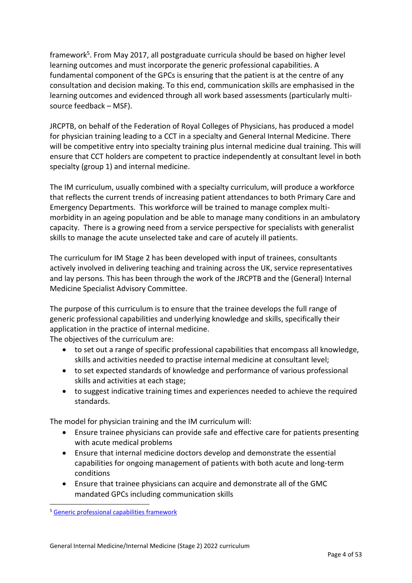framework<sup>5</sup>. From May 2017, all postgraduate curricula should be based on higher level learning outcomes and must incorporate the generic professional capabilities. A fundamental component of the GPCs is ensuring that the patient is at the centre of any consultation and decision making. To this end, communication skills are emphasised in the learning outcomes and evidenced through all work based assessments (particularly multisource feedback – MSF).

JRCPTB, on behalf of the Federation of Royal Colleges of Physicians, has produced a model for physician training leading to a CCT in a specialty and General Internal Medicine. There will be competitive entry into specialty training plus internal medicine dual training. This will ensure that CCT holders are competent to practice independently at consultant level in both specialty (group 1) and internal medicine.

The IM curriculum, usually combined with a specialty curriculum, will produce a workforce that reflects the current trends of increasing patient attendances to both Primary Care and Emergency Departments. This workforce will be trained to manage complex multimorbidity in an ageing population and be able to manage many conditions in an ambulatory capacity. There is a growing need from a service perspective for specialists with generalist skills to manage the acute unselected take and care of acutely ill patients.

The curriculum for IM Stage 2 has been developed with input of trainees, consultants actively involved in delivering teaching and training across the UK, service representatives and lay persons. This has been through the work of the JRCPTB and the (General) Internal Medicine Specialist Advisory Committee.

The purpose of this curriculum is to ensure that the trainee develops the full range of generic professional capabilities and underlying knowledge and skills, specifically their application in the practice of internal medicine.

The objectives of the curriculum are:

- to set out a range of specific professional capabilities that encompass all knowledge, skills and activities needed to practise internal medicine at consultant level;
- to set expected standards of knowledge and performance of various professional skills and activities at each stage;
- to suggest indicative training times and experiences needed to achieve the required standards.

The model for physician training and the IM curriculum will:

- Ensure trainee physicians can provide safe and effective care for patients presenting with acute medical problems
- Ensure that internal medicine doctors develop and demonstrate the essential capabilities for ongoing management of patients with both acute and long-term conditions
- Ensure that trainee physicians can acquire and demonstrate all of the GMC mandated GPCs including communication skills

<sup>5</sup> [Generic professional capabilities framework](https://www.gmc-uk.org/education/standards-guidance-and-curricula/standards-and-outcomes/generic-professional-capabilities-framework)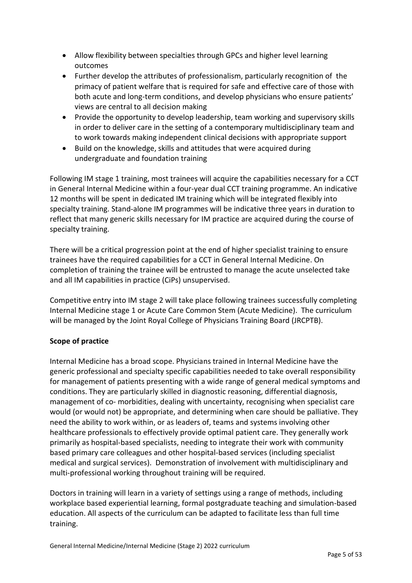- Allow flexibility between specialties through GPCs and higher level learning outcomes
- Further develop the attributes of professionalism, particularly recognition of the primacy of patient welfare that is required for safe and effective care of those with both acute and long-term conditions, and develop physicians who ensure patients' views are central to all decision making
- Provide the opportunity to develop leadership, team working and supervisory skills in order to deliver care in the setting of a contemporary multidisciplinary team and to work towards making independent clinical decisions with appropriate support
- Build on the knowledge, skills and attitudes that were acquired during undergraduate and foundation training

Following IM stage 1 training, most trainees will acquire the capabilities necessary for a CCT in General Internal Medicine within a four-year dual CCT training programme. An indicative 12 months will be spent in dedicated IM training which will be integrated flexibly into specialty training. Stand-alone IM programmes will be indicative three years in duration to reflect that many generic skills necessary for IM practice are acquired during the course of specialty training.

There will be a critical progression point at the end of higher specialist training to ensure trainees have the required capabilities for a CCT in General Internal Medicine. On completion of training the trainee will be entrusted to manage the acute unselected take and all IM capabilities in practice (CiPs) unsupervised.

Competitive entry into IM stage 2 will take place following trainees successfully completing Internal Medicine stage 1 or Acute Care Common Stem (Acute Medicine). The curriculum will be managed by the Joint Royal College of Physicians Training Board (JRCPTB).

# **Scope of practice**

Internal Medicine has a broad scope. Physicians trained in Internal Medicine have the generic professional and specialty specific capabilities needed to take overall responsibility for management of patients presenting with a wide range of general medical symptoms and conditions. They are particularly skilled in diagnostic reasoning, differential diagnosis, management of co- morbidities, dealing with uncertainty, recognising when specialist care would (or would not) be appropriate, and determining when care should be palliative. They need the ability to work within, or as leaders of, teams and systems involving other healthcare professionals to effectively provide optimal patient care. They generally work primarily as hospital-based specialists, needing to integrate their work with community based primary care colleagues and other hospital-based services (including specialist medical and surgical services). Demonstration of involvement with multidisciplinary and multi-professional working throughout training will be required.

Doctors in training will learn in a variety of settings using a range of methods, including workplace based experiential learning, formal postgraduate teaching and simulation-based education. All aspects of the curriculum can be adapted to facilitate less than full time training.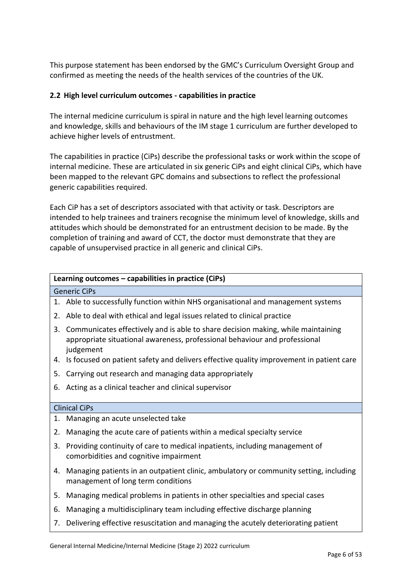This purpose statement has been endorsed by the GMC's Curriculum Oversight Group and confirmed as meeting the needs of the health services of the countries of the UK.

# <span id="page-5-0"></span>**2.2 High level curriculum outcomes - capabilities in practice**

The internal medicine curriculum is spiral in nature and the high level learning outcomes and knowledge, skills and behaviours of the IM stage 1 curriculum are further developed to achieve higher levels of entrustment.

The capabilities in practice (CiPs) describe the professional tasks or work within the scope of internal medicine. These are articulated in six generic CiPs and eight clinical CiPs, which have been mapped to the relevant GPC domains and subsections to reflect the professional generic capabilities required.

Each CiP has a set of descriptors associated with that activity or task. Descriptors are intended to help trainees and trainers recognise the minimum level of knowledge, skills and attitudes which should be demonstrated for an entrustment decision to be made. By the completion of training and award of CCT, the doctor must demonstrate that they are capable of unsupervised practice in all generic and clinical CiPs.

# **Learning outcomes – capabilities in practice (CiPs)**

#### Generic CiPs

- 1. Able to successfully function within NHS organisational and management systems
- 2. Able to deal with ethical and legal issues related to clinical practice
- 3. Communicates effectively and is able to share decision making, while maintaining appropriate situational awareness, professional behaviour and professional judgement
- 4. Is focused on patient safety and delivers effective quality improvement in patient care
- 5. Carrying out research and managing data appropriately
- 6. Acting as a clinical teacher and clinical supervisor

#### Clinical CiPs

- 1. Managing an acute unselected take
- 2. Managing the acute care of patients within a medical specialty service
- 3. Providing continuity of care to medical inpatients, including management of comorbidities and cognitive impairment
- 4. Managing patients in an outpatient clinic, ambulatory or community setting, including management of long term conditions
- 5. Managing medical problems in patients in other specialties and special cases
- 6. Managing a multidisciplinary team including effective discharge planning
- 7. Delivering effective resuscitation and managing the acutely deteriorating patient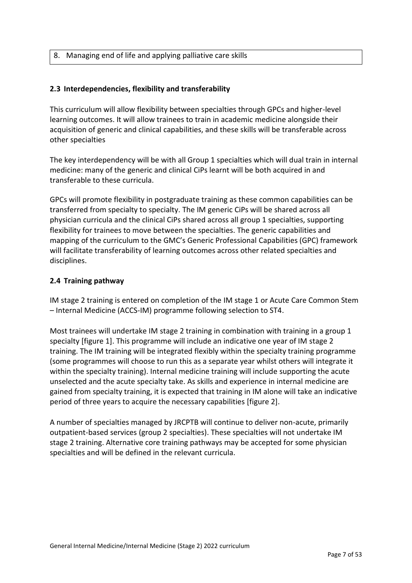### 8. Managing end of life and applying palliative care skills

### <span id="page-6-0"></span>**2.3 Interdependencies, flexibility and transferability**

This curriculum will allow flexibility between specialties through GPCs and higher-level learning outcomes. It will allow trainees to train in academic medicine alongside their acquisition of generic and clinical capabilities, and these skills will be transferable across other specialties

The key interdependency will be with all Group 1 specialties which will dual train in internal medicine: many of the generic and clinical CiPs learnt will be both acquired in and transferable to these curricula.

GPCs will promote flexibility in postgraduate training as these common capabilities can be transferred from specialty to specialty. The IM generic CiPs will be shared across all physician curricula and the clinical CiPs shared across all group 1 specialties, supporting flexibility for trainees to move between the specialties. The generic capabilities and mapping of the curriculum to the GMC's Generic Professional Capabilities (GPC) framework will facilitate transferability of learning outcomes across other related specialties and disciplines.

### <span id="page-6-1"></span>**2.4 Training pathway**

IM stage 2 training is entered on completion of the IM stage 1 or Acute Care Common Stem – Internal Medicine (ACCS-IM) programme following selection to ST4.

Most trainees will undertake IM stage 2 training in combination with training in a group 1 specialty [figure 1]. This programme will include an indicative one year of IM stage 2 training. The IM training will be integrated flexibly within the specialty training programme (some programmes will choose to run this as a separate year whilst others will integrate it within the specialty training). Internal medicine training will include supporting the acute unselected and the acute specialty take. As skills and experience in internal medicine are gained from specialty training, it is expected that training in IM alone will take an indicative period of three years to acquire the necessary capabilities [figure 2].

A number of specialties managed by JRCPTB will continue to deliver non-acute, primarily outpatient-based services (group 2 specialties). These specialties will not undertake IM stage 2 training. Alternative core training pathways may be accepted for some physician specialties and will be defined in the relevant curricula.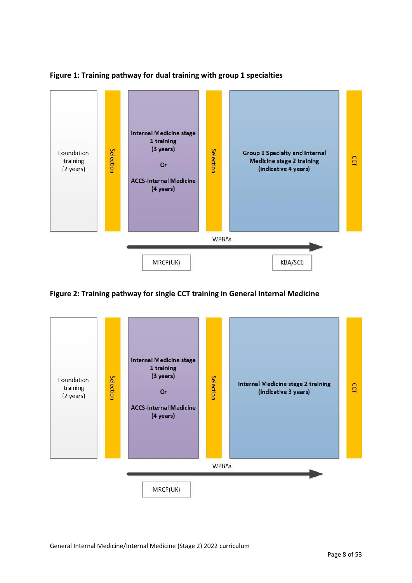

### **Figure 1: Training pathway for dual training with group 1 specialties**

# **Figure 2: Training pathway for single CCT training in General Internal Medicine**

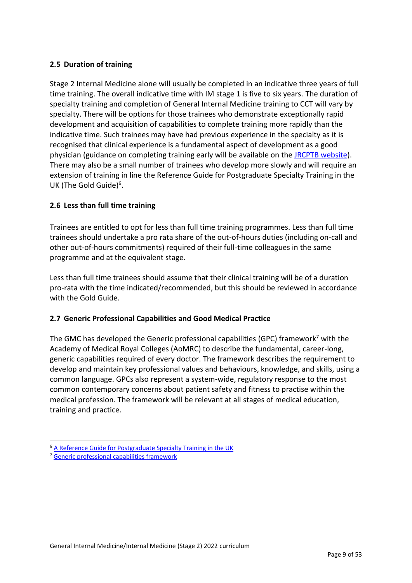# <span id="page-8-0"></span>**2.5 Duration of training**

Stage 2 Internal Medicine alone will usually be completed in an indicative three years of full time training. The overall indicative time with IM stage 1 is five to six years. The duration of specialty training and completion of General Internal Medicine training to CCT will vary by specialty. There will be options for those trainees who demonstrate exceptionally rapid development and acquisition of capabilities to complete training more rapidly than the indicative time. Such trainees may have had previous experience in the specialty as it is recognised that clinical experience is a fundamental aspect of development as a good physician (guidance on completing training early will be available on the [JRCPTB website\)](http://www.jrcptb.org.uk/). There may also be a small number of trainees who develop more slowly and will require an extension of training in line the Reference Guide for Postgraduate Specialty Training in the UK (The Gold Guide)<sup>6</sup>.

# <span id="page-8-1"></span>**2.6 Less than full time training**

Trainees are entitled to opt for less than full time training programmes. Less than full time trainees should undertake a pro rata share of the out-of-hours duties (including on-call and other out-of-hours commitments) required of their full-time colleagues in the same programme and at the equivalent stage.

Less than full time trainees should assume that their clinical training will be of a duration pro-rata with the time indicated/recommended, but this should be reviewed in accordance with the Gold Guide.

### <span id="page-8-2"></span>**2.7 Generic Professional Capabilities and Good Medical Practice**

The GMC has developed the Generic professional capabilities (GPC) framework<sup>7</sup> with the Academy of Medical Royal Colleges (AoMRC) to describe the fundamental, career-long, generic capabilities required of every doctor. The framework describes the requirement to develop and maintain key professional values and behaviours, knowledge, and skills, using a common language. GPCs also represent a system-wide, regulatory response to the most common contemporary concerns about patient safety and fitness to practise within the medical profession. The framework will be relevant at all stages of medical education, training and practice.

<sup>6</sup> [A Reference Guide for Postgraduate Specialty Training in the UK](https://www.copmed.org.uk/publications/the-gold-guide)

<sup>7</sup> [Generic professional capabilities framework](http://www.gmc-uk.org/education/postgraduate/GPC.asp)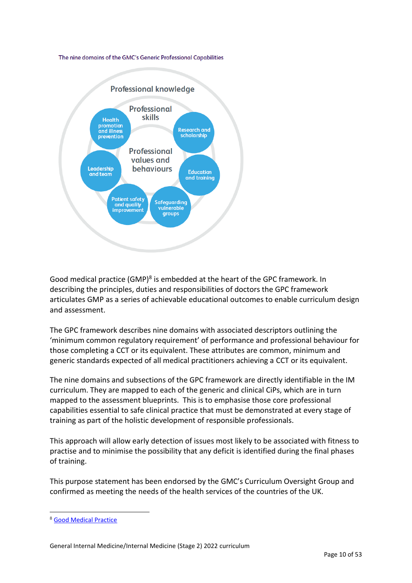#### The nine domains of the GMC's Generic Professional Capabilities



Good medical practice (GMP)<sup>8</sup> is embedded at the heart of the GPC framework. In describing the principles, duties and responsibilities of doctors the GPC framework articulates GMP as a series of achievable educational outcomes to enable curriculum design and assessment.

The GPC framework describes nine domains with associated descriptors outlining the 'minimum common regulatory requirement' of performance and professional behaviour for those completing a CCT or its equivalent. These attributes are common, minimum and generic standards expected of all medical practitioners achieving a CCT or its equivalent.

The nine domains and subsections of the GPC framework are directly identifiable in the IM curriculum. They are mapped to each of the generic and clinical CiPs, which are in turn mapped to the assessment blueprints. This is to emphasise those core professional capabilities essential to safe clinical practice that must be demonstrated at every stage of training as part of the holistic development of responsible professionals.

This approach will allow early detection of issues most likely to be associated with fitness to practise and to minimise the possibility that any deficit is identified during the final phases of training.

This purpose statement has been endorsed by the GMC's Curriculum Oversight Group and confirmed as meeting the needs of the health services of the countries of the UK.

<sup>8</sup> [Good Medical Practice](http://www.gmc-uk.org/guidance/good_medical_practice.asp)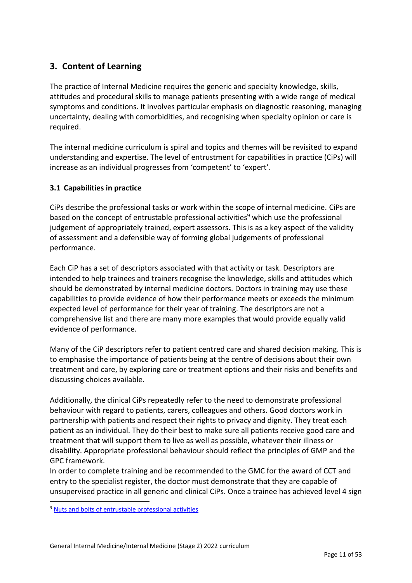# <span id="page-10-0"></span>**3. Content of Learning**

The practice of Internal Medicine requires the generic and specialty knowledge, skills, attitudes and procedural skills to manage patients presenting with a wide range of medical symptoms and conditions. It involves particular emphasis on diagnostic reasoning, managing uncertainty, dealing with comorbidities, and recognising when specialty opinion or care is required.

The internal medicine curriculum is spiral and topics and themes will be revisited to expand understanding and expertise. The level of entrustment for capabilities in practice (CiPs) will increase as an individual progresses from 'competent' to 'expert'.

# <span id="page-10-1"></span>**3.1 Capabilities in practice**

CiPs describe the professional tasks or work within the scope of internal medicine. CiPs are based on the concept of entrustable professional activities<sup>9</sup> which use the professional judgement of appropriately trained, expert assessors. This is as a key aspect of the validity of assessment and a defensible way of forming global judgements of professional performance.

Each CiP has a set of descriptors associated with that activity or task. Descriptors are intended to help trainees and trainers recognise the knowledge, skills and attitudes which should be demonstrated by internal medicine doctors. Doctors in training may use these capabilities to provide evidence of how their performance meets or exceeds the minimum expected level of performance for their year of training. The descriptors are not a comprehensive list and there are many more examples that would provide equally valid evidence of performance.

Many of the CiP descriptors refer to patient centred care and shared decision making. This is to emphasise the importance of patients being at the centre of decisions about their own treatment and care, by exploring care or treatment options and their risks and benefits and discussing choices available.

Additionally, the clinical CiPs repeatedly refer to the need to demonstrate professional behaviour with regard to patients, carers, colleagues and others. Good doctors work in partnership with patients and respect their rights to privacy and dignity. They treat each patient as an individual. They do their best to make sure all patients receive good care and treatment that will support them to live as well as possible, whatever their illness or disability. Appropriate professional behaviour should reflect the principles of GMP and the GPC framework.

In order to complete training and be recommended to the GMC for the award of CCT and entry to the specialist register, the doctor must demonstrate that they are capable of unsupervised practice in all generic and clinical CiPs. Once a trainee has achieved level 4 sign

<sup>&</sup>lt;sup>9</sup> [Nuts and bolts of entrustable professional activities](https://www.ncbi.nlm.nih.gov/pmc/articles/PMC3613304/)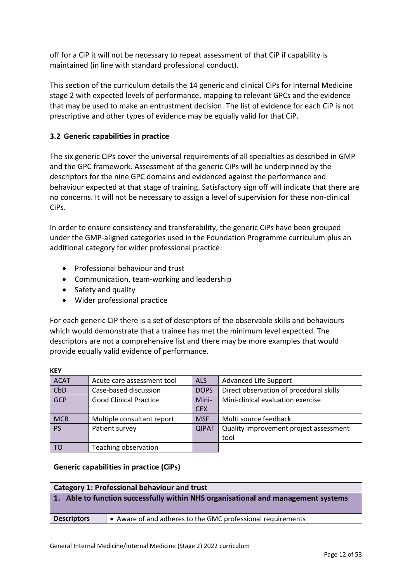off for a CiP it will not be necessary to repeat assessment of that CiP if capability is maintained (in line with standard professional conduct).

This section of the curriculum details the 14 generic and clinical CiPs for Internal Medicine stage 2 with expected levels of performance, mapping to relevant GPCs and the evidence that may be used to make an entrustment decision. The list of evidence for each CiP is not prescriptive and other types of evidence may be equally valid for that CiP.

# <span id="page-11-0"></span>**3.2 Generic capabilities in practice**

The six generic CiPs cover the universal requirements of all specialties as described in GMP and the GPC framework. Assessment of the generic CiPs will be underpinned by the descriptors for the nine GPC domains and evidenced against the performance and behaviour expected at that stage of training. Satisfactory sign off will indicate that there are no concerns. It will not be necessary to assign a level of supervision for these non-clinical CiPs.

In order to ensure consistency and transferability, the generic CiPs have been grouped under the GMP-aligned categories used in the Foundation Programme curriculum plus an additional category for wider professional practice:

- Professional behaviour and trust
- Communication, team-working and leadership
- Safety and quality

**KEY**

• Wider professional practice

For each generic CiP there is a set of descriptors of the observable skills and behaviours which would demonstrate that a trainee has met the minimum level expected. The descriptors are not a comprehensive list and there may be more examples that would provide equally valid evidence of performance.

| .           |                               |              |                                         |
|-------------|-------------------------------|--------------|-----------------------------------------|
| <b>ACAT</b> | Acute care assessment tool    | <b>ALS</b>   | Advanced Life Support                   |
| CbD         | Case-based discussion         | <b>DOPS</b>  | Direct observation of procedural skills |
| GCP         | <b>Good Clinical Practice</b> | Mini-        | Mini-clinical evaluation exercise       |
|             |                               | <b>CEX</b>   |                                         |
| <b>MCR</b>  | Multiple consultant report    | <b>MSF</b>   | Multi source feedback                   |
| <b>PS</b>   | Patient survey                | <b>QIPAT</b> | Quality improvement project assessment  |
|             |                               |              | tool                                    |
| TO          | Teaching observation          |              |                                         |

|                                                                                   | <b>Generic capabilities in practice (CiPs)</b>              |
|-----------------------------------------------------------------------------------|-------------------------------------------------------------|
|                                                                                   | <b>Category 1: Professional behaviour and trust</b>         |
| 1. Able to function successfully within NHS organisational and management systems |                                                             |
| <b>Descriptors</b>                                                                | • Aware of and adheres to the GMC professional requirements |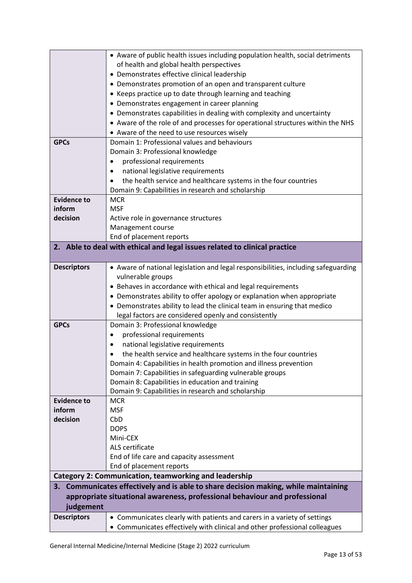|                    | • Aware of public health issues including population health, social detriments                               |
|--------------------|--------------------------------------------------------------------------------------------------------------|
|                    | of health and global health perspectives                                                                     |
|                    | • Demonstrates effective clinical leadership                                                                 |
|                    | • Demonstrates promotion of an open and transparent culture                                                  |
|                    | • Keeps practice up to date through learning and teaching                                                    |
|                    | • Demonstrates engagement in career planning                                                                 |
|                    | • Demonstrates capabilities in dealing with complexity and uncertainty                                       |
|                    | • Aware of the role of and processes for operational structures within the NHS                               |
|                    | • Aware of the need to use resources wisely                                                                  |
| <b>GPCs</b>        | Domain 1: Professional values and behaviours                                                                 |
|                    | Domain 3: Professional knowledge                                                                             |
|                    | professional requirements                                                                                    |
|                    | national legislative requirements                                                                            |
|                    | the health service and healthcare systems in the four countries                                              |
|                    | Domain 9: Capabilities in research and scholarship                                                           |
| <b>Evidence to</b> | <b>MCR</b>                                                                                                   |
| inform             | <b>MSF</b>                                                                                                   |
| decision           | Active role in governance structures                                                                         |
|                    | Management course                                                                                            |
|                    | End of placement reports                                                                                     |
|                    | 2. Able to deal with ethical and legal issues related to clinical practice                                   |
|                    |                                                                                                              |
| <b>Descriptors</b> | • Aware of national legislation and legal responsibilities, including safeguarding                           |
|                    | vulnerable groups                                                                                            |
|                    | • Behaves in accordance with ethical and legal requirements                                                  |
|                    | • Demonstrates ability to offer apology or explanation when appropriate                                      |
|                    | • Demonstrates ability to lead the clinical team in ensuring that medico                                     |
|                    | legal factors are considered openly and consistently                                                         |
| <b>GPCs</b>        | Domain 3: Professional knowledge                                                                             |
|                    | professional requirements<br>$\bullet$                                                                       |
|                    | national legislative requirements                                                                            |
|                    | the health service and healthcare systems in the four countries                                              |
|                    | Domain 4: Capabilities in health promotion and illness prevention                                            |
|                    | Domain 7: Capabilities in safeguarding vulnerable groups<br>Domain 8: Capabilities in education and training |
|                    | Domain 9: Capabilities in research and scholarship                                                           |
| <b>Evidence to</b> | <b>MCR</b>                                                                                                   |
| inform             | <b>MSF</b>                                                                                                   |
| decision           | CbD                                                                                                          |
|                    | <b>DOPS</b>                                                                                                  |
|                    | Mini-CEX                                                                                                     |
|                    | ALS certificate                                                                                              |
|                    | End of life care and capacity assessment                                                                     |
|                    | End of placement reports                                                                                     |
|                    | <b>Category 2: Communication, teamworking and leadership</b>                                                 |
|                    | 3. Communicates effectively and is able to share decision making, while maintaining                          |
|                    | appropriate situational awareness, professional behaviour and professional                                   |
| judgement          |                                                                                                              |
| <b>Descriptors</b> | • Communicates clearly with patients and carers in a variety of settings                                     |
|                    | • Communicates effectively with clinical and other professional colleagues                                   |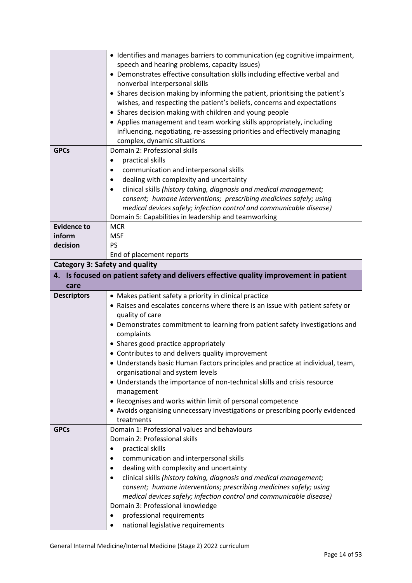|                                       | • Identifies and manages barriers to communication (eg cognitive impairment,       |
|---------------------------------------|------------------------------------------------------------------------------------|
|                                       | speech and hearing problems, capacity issues)                                      |
|                                       | • Demonstrates effective consultation skills including effective verbal and        |
|                                       | nonverbal interpersonal skills                                                     |
|                                       | • Shares decision making by informing the patient, prioritising the patient's      |
|                                       | wishes, and respecting the patient's beliefs, concerns and expectations            |
|                                       | • Shares decision making with children and young people                            |
|                                       | • Applies management and team working skills appropriately, including              |
|                                       | influencing, negotiating, re-assessing priorities and effectively managing         |
|                                       | complex, dynamic situations                                                        |
| <b>GPCs</b>                           | Domain 2: Professional skills                                                      |
|                                       | practical skills                                                                   |
|                                       | communication and interpersonal skills                                             |
|                                       | dealing with complexity and uncertainty                                            |
|                                       | clinical skills (history taking, diagnosis and medical management;                 |
|                                       | consent; humane interventions; prescribing medicines safely; using                 |
|                                       | medical devices safely; infection control and communicable disease)                |
|                                       | Domain 5: Capabilities in leadership and teamworking                               |
| <b>Evidence to</b>                    | <b>MCR</b>                                                                         |
| inform                                | <b>MSF</b>                                                                         |
| decision                              | <b>PS</b>                                                                          |
|                                       | End of placement reports                                                           |
| <b>Category 3: Safety and quality</b> |                                                                                    |
| 4.                                    | Is focused on patient safety and delivers effective quality improvement in patient |
| care                                  |                                                                                    |
| <b>Descriptors</b>                    | • Makes patient safety a priority in clinical practice                             |
|                                       | • Raises and escalates concerns where there is an issue with patient safety or     |
|                                       | quality of care                                                                    |
|                                       | • Demonstrates commitment to learning from patient safety investigations and       |
|                                       | complaints                                                                         |
|                                       | • Shares good practice appropriately                                               |
|                                       | • Contributes to and delivers quality improvement                                  |
|                                       | • Understands basic Human Factors principles and practice at individual, team,     |
|                                       | organisational and system levels                                                   |
|                                       | • Understands the importance of non-technical skills and crisis resource           |
|                                       | management                                                                         |
|                                       | • Recognises and works within limit of personal competence                         |
|                                       | • Avoids organising unnecessary investigations or prescribing poorly evidenced     |
|                                       | treatments                                                                         |
| <b>GPCs</b>                           | Domain 1: Professional values and behaviours                                       |
|                                       | Domain 2: Professional skills                                                      |
|                                       | practical skills                                                                   |
|                                       | communication and interpersonal skills                                             |
|                                       | dealing with complexity and uncertainty                                            |
|                                       | clinical skills (history taking, diagnosis and medical management;                 |
|                                       | consent; humane interventions; prescribing medicines safely; using                 |
|                                       | medical devices safely; infection control and communicable disease)                |
|                                       | Domain 3: Professional knowledge                                                   |
|                                       | professional requirements<br>national legislative requirements                     |
|                                       |                                                                                    |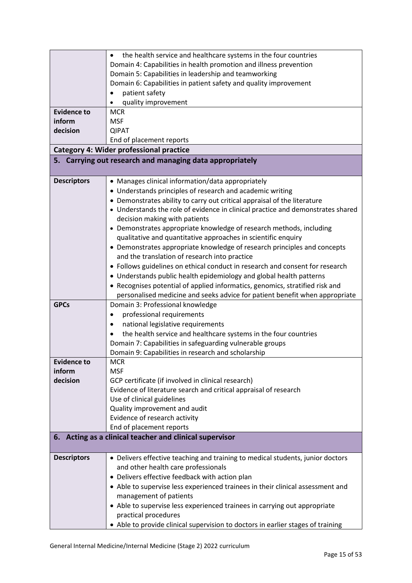|                    | the health service and healthcare systems in the four countries                 |
|--------------------|---------------------------------------------------------------------------------|
|                    | Domain 4: Capabilities in health promotion and illness prevention               |
|                    | Domain 5: Capabilities in leadership and teamworking                            |
|                    | Domain 6: Capabilities in patient safety and quality improvement                |
|                    | patient safety                                                                  |
|                    | quality improvement                                                             |
| <b>Evidence to</b> | <b>MCR</b>                                                                      |
| inform             | <b>MSF</b>                                                                      |
| decision           | <b>QIPAT</b>                                                                    |
|                    | End of placement reports                                                        |
|                    | <b>Category 4: Wider professional practice</b>                                  |
|                    | 5. Carrying out research and managing data appropriately                        |
|                    |                                                                                 |
| <b>Descriptors</b> | • Manages clinical information/data appropriately                               |
|                    | • Understands principles of research and academic writing                       |
|                    | • Demonstrates ability to carry out critical appraisal of the literature        |
|                    | • Understands the role of evidence in clinical practice and demonstrates shared |
|                    | decision making with patients                                                   |
|                    | • Demonstrates appropriate knowledge of research methods, including             |
|                    | qualitative and quantitative approaches in scientific enquiry                   |
|                    | • Demonstrates appropriate knowledge of research principles and concepts        |
|                    | and the translation of research into practice                                   |
|                    | • Follows guidelines on ethical conduct in research and consent for research    |
|                    | • Understands public health epidemiology and global health patterns             |
|                    | • Recognises potential of applied informatics, genomics, stratified risk and    |
|                    | personalised medicine and seeks advice for patient benefit when appropriate     |
| <b>GPCs</b>        | Domain 3: Professional knowledge                                                |
|                    | professional requirements<br>٠                                                  |
|                    | national legislative requirements                                               |
|                    | the health service and healthcare systems in the four countries                 |
|                    | Domain 7: Capabilities in safeguarding vulnerable groups                        |
|                    | Domain 9: Capabilities in research and scholarship                              |
| Evidence to        | MCR                                                                             |
| inform             | <b>MSF</b>                                                                      |
| decision           | GCP certificate (if involved in clinical research)                              |
|                    | Evidence of literature search and critical appraisal of research                |
|                    | Use of clinical guidelines                                                      |
|                    | Quality improvement and audit                                                   |
|                    | Evidence of research activity                                                   |
|                    | End of placement reports                                                        |
|                    | 6. Acting as a clinical teacher and clinical supervisor                         |
| <b>Descriptors</b> | • Delivers effective teaching and training to medical students, junior doctors  |
|                    | and other health care professionals                                             |
|                    | • Delivers effective feedback with action plan                                  |
|                    | • Able to supervise less experienced trainees in their clinical assessment and  |
|                    | management of patients                                                          |
|                    | • Able to supervise less experienced trainees in carrying out appropriate       |
|                    | practical procedures                                                            |
|                    | • Able to provide clinical supervision to doctors in earlier stages of training |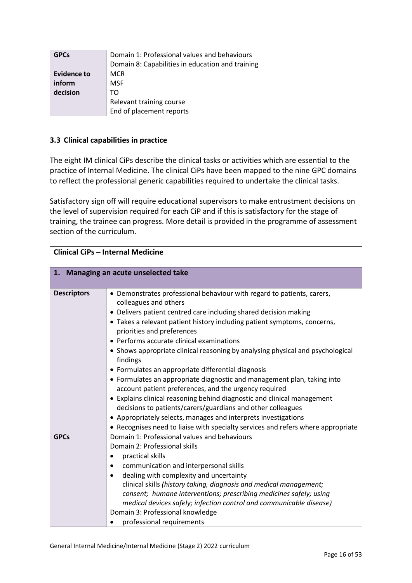| <b>GPCs</b>        | Domain 1: Professional values and behaviours     |  |
|--------------------|--------------------------------------------------|--|
|                    | Domain 8: Capabilities in education and training |  |
| <b>Evidence to</b> | <b>MCR</b>                                       |  |
| inform             | <b>MSF</b>                                       |  |
| decision           | TO                                               |  |
|                    | Relevant training course                         |  |
|                    | End of placement reports                         |  |

# <span id="page-15-0"></span>**3.3 Clinical capabilities in practice**

The eight IM clinical CiPs describe the clinical tasks or activities which are essential to the practice of Internal Medicine. The clinical CiPs have been mapped to the nine GPC domains to reflect the professional generic capabilities required to undertake the clinical tasks.

Satisfactory sign off will require educational supervisors to make entrustment decisions on the level of supervision required for each CiP and if this is satisfactory for the stage of training, the trainee can progress. More detail is provided in the programme of assessment section of the curriculum.

|                    | <b>Clinical CiPs - Internal Medicine</b>                                                                                                                                                                                                                                                                                                                                                                                                                                                                                                                                                                                                                                                                                                                                                                                                                                                                           |
|--------------------|--------------------------------------------------------------------------------------------------------------------------------------------------------------------------------------------------------------------------------------------------------------------------------------------------------------------------------------------------------------------------------------------------------------------------------------------------------------------------------------------------------------------------------------------------------------------------------------------------------------------------------------------------------------------------------------------------------------------------------------------------------------------------------------------------------------------------------------------------------------------------------------------------------------------|
|                    | 1. Managing an acute unselected take                                                                                                                                                                                                                                                                                                                                                                                                                                                                                                                                                                                                                                                                                                                                                                                                                                                                               |
| <b>Descriptors</b> | • Demonstrates professional behaviour with regard to patients, carers,<br>colleagues and others<br>• Delivers patient centred care including shared decision making<br>• Takes a relevant patient history including patient symptoms, concerns,<br>priorities and preferences<br>• Performs accurate clinical examinations<br>• Shows appropriate clinical reasoning by analysing physical and psychological<br>findings<br>• Formulates an appropriate differential diagnosis<br>• Formulates an appropriate diagnostic and management plan, taking into<br>account patient preferences, and the urgency required<br>• Explains clinical reasoning behind diagnostic and clinical management<br>decisions to patients/carers/guardians and other colleagues<br>• Appropriately selects, manages and interprets investigations<br>• Recognises need to liaise with specialty services and refers where appropriate |
| <b>GPCs</b>        | Domain 1: Professional values and behaviours<br>Domain 2: Professional skills<br>practical skills<br>communication and interpersonal skills<br>dealing with complexity and uncertainty<br>clinical skills (history taking, diagnosis and medical management;<br>consent; humane interventions; prescribing medicines safely; using<br>medical devices safely; infection control and communicable disease)<br>Domain 3: Professional knowledge<br>professional requirements                                                                                                                                                                                                                                                                                                                                                                                                                                         |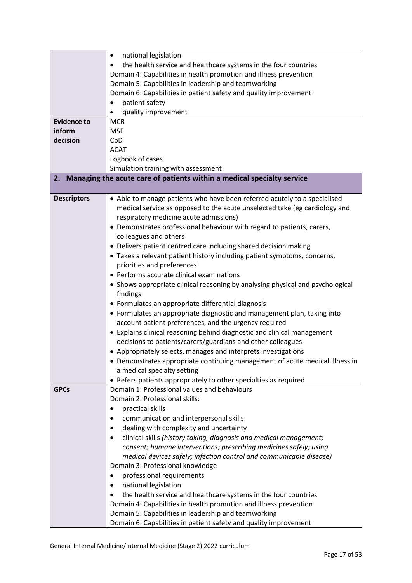|                    | national legislation<br>٠                                                      |
|--------------------|--------------------------------------------------------------------------------|
|                    | the health service and healthcare systems in the four countries                |
|                    | Domain 4: Capabilities in health promotion and illness prevention              |
|                    | Domain 5: Capabilities in leadership and teamworking                           |
|                    | Domain 6: Capabilities in patient safety and quality improvement               |
|                    | patient safety                                                                 |
|                    | quality improvement                                                            |
| <b>Evidence to</b> | <b>MCR</b>                                                                     |
| inform             | <b>MSF</b>                                                                     |
| decision           | CbD                                                                            |
|                    | <b>ACAT</b>                                                                    |
|                    | Logbook of cases                                                               |
|                    | Simulation training with assessment                                            |
|                    | 2. Managing the acute care of patients within a medical specialty service      |
|                    |                                                                                |
| <b>Descriptors</b> | • Able to manage patients who have been referred acutely to a specialised      |
|                    | medical service as opposed to the acute unselected take (eg cardiology and     |
|                    | respiratory medicine acute admissions)                                         |
|                    | • Demonstrates professional behaviour with regard to patients, carers,         |
|                    | colleagues and others                                                          |
|                    | • Delivers patient centred care including shared decision making               |
|                    | • Takes a relevant patient history including patient symptoms, concerns,       |
|                    | priorities and preferences                                                     |
|                    | • Performs accurate clinical examinations                                      |
|                    |                                                                                |
|                    | • Shows appropriate clinical reasoning by analysing physical and psychological |
|                    | findings                                                                       |
|                    | • Formulates an appropriate differential diagnosis                             |
|                    | • Formulates an appropriate diagnostic and management plan, taking into        |
|                    | account patient preferences, and the urgency required                          |
|                    | • Explains clinical reasoning behind diagnostic and clinical management        |
|                    | decisions to patients/carers/guardians and other colleagues                    |
|                    | • Appropriately selects, manages and interprets investigations                 |
|                    | • Demonstrates appropriate continuing management of acute medical illness in   |
|                    | a medical specialty setting                                                    |
|                    | • Refers patients appropriately to other specialties as required               |
| <b>GPCs</b>        | Domain 1: Professional values and behaviours                                   |
|                    | Domain 2: Professional skills:                                                 |
|                    | practical skills<br>$\bullet$                                                  |
|                    | communication and interpersonal skills                                         |
|                    | dealing with complexity and uncertainty                                        |
|                    | clinical skills (history taking, diagnosis and medical management;             |
|                    | consent; humane interventions; prescribing medicines safely; using             |
|                    | medical devices safely; infection control and communicable disease)            |
|                    | Domain 3: Professional knowledge                                               |
|                    | professional requirements<br>$\bullet$                                         |
|                    | national legislation                                                           |
|                    | the health service and healthcare systems in the four countries                |
|                    | Domain 4: Capabilities in health promotion and illness prevention              |
|                    | Domain 5: Capabilities in leadership and teamworking                           |
|                    | Domain 6: Capabilities in patient safety and quality improvement               |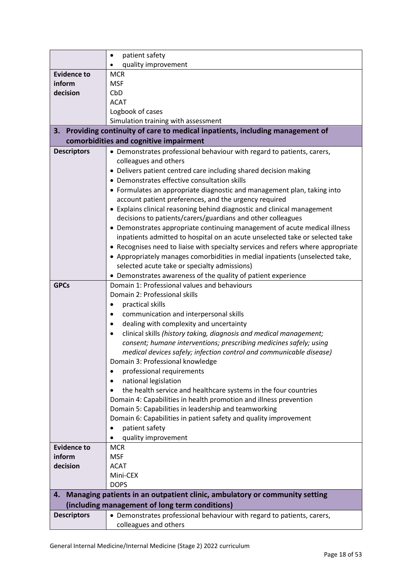|                              | patient safety<br>$\bullet$                                                      |
|------------------------------|----------------------------------------------------------------------------------|
|                              | quality improvement                                                              |
| <b>Evidence to</b>           | <b>MCR</b>                                                                       |
| inform                       | <b>MSF</b>                                                                       |
| decision                     | CbD                                                                              |
|                              | <b>ACAT</b>                                                                      |
|                              | Logbook of cases                                                                 |
|                              | Simulation training with assessment                                              |
| 3.                           | Providing continuity of care to medical inpatients, including management of      |
|                              | comorbidities and cognitive impairment                                           |
| <b>Descriptors</b>           | • Demonstrates professional behaviour with regard to patients, carers,           |
|                              | colleagues and others                                                            |
|                              | • Delivers patient centred care including shared decision making                 |
|                              | • Demonstrates effective consultation skills                                     |
|                              | • Formulates an appropriate diagnostic and management plan, taking into          |
|                              | account patient preferences, and the urgency required                            |
|                              | • Explains clinical reasoning behind diagnostic and clinical management          |
|                              | decisions to patients/carers/guardians and other colleagues                      |
|                              | • Demonstrates appropriate continuing management of acute medical illness        |
|                              | inpatients admitted to hospital on an acute unselected take or selected take     |
|                              | • Recognises need to liaise with specialty services and refers where appropriate |
|                              | • Appropriately manages comorbidities in medial inpatients (unselected take,     |
|                              | selected acute take or specialty admissions)                                     |
|                              | • Demonstrates awareness of the quality of patient experience                    |
| <b>GPCs</b>                  | Domain 1: Professional values and behaviours                                     |
|                              | Domain 2: Professional skills                                                    |
|                              | practical skills                                                                 |
|                              | communication and interpersonal skills                                           |
|                              | dealing with complexity and uncertainty                                          |
|                              | clinical skills (history taking, diagnosis and medical management;<br>٠          |
|                              | consent; humane interventions; prescribing medicines safely; using               |
|                              | medical devices safely; infection control and communicable disease)              |
|                              | Domain 3: Professional knowledge                                                 |
|                              | professional requirements                                                        |
|                              | national legislation<br>٠                                                        |
|                              | the health service and healthcare systems in the four countries                  |
|                              | Domain 4: Capabilities in health promotion and illness prevention                |
|                              | Domain 5: Capabilities in leadership and teamworking                             |
|                              | Domain 6: Capabilities in patient safety and quality improvement                 |
|                              | patient safety                                                                   |
|                              | quality improvement<br><b>MCR</b>                                                |
| <b>Evidence to</b><br>inform | <b>MSF</b>                                                                       |
| decision                     | <b>ACAT</b>                                                                      |
|                              | Mini-CEX                                                                         |
|                              | <b>DOPS</b>                                                                      |
| 4.                           | Managing patients in an outpatient clinic, ambulatory or community setting       |
|                              | (including management of long term conditions)                                   |
| <b>Descriptors</b>           | • Demonstrates professional behaviour with regard to patients, carers,           |
|                              | colleagues and others                                                            |
|                              |                                                                                  |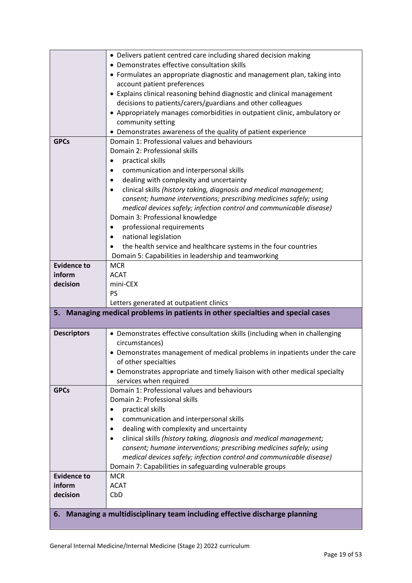|                    | • Delivers patient centred care including shared decision making             |
|--------------------|------------------------------------------------------------------------------|
|                    | • Demonstrates effective consultation skills                                 |
|                    | • Formulates an appropriate diagnostic and management plan, taking into      |
|                    | account patient preferences                                                  |
|                    | • Explains clinical reasoning behind diagnostic and clinical management      |
|                    | decisions to patients/carers/guardians and other colleagues                  |
|                    | • Appropriately manages comorbidities in outpatient clinic, ambulatory or    |
|                    | community setting                                                            |
|                    | • Demonstrates awareness of the quality of patient experience                |
| <b>GPCs</b>        | Domain 1: Professional values and behaviours                                 |
|                    | Domain 2: Professional skills                                                |
|                    | practical skills                                                             |
|                    | communication and interpersonal skills                                       |
|                    | dealing with complexity and uncertainty                                      |
|                    | clinical skills (history taking, diagnosis and medical management;           |
|                    | consent; humane interventions; prescribing medicines safely; using           |
|                    | medical devices safely; infection control and communicable disease)          |
|                    | Domain 3: Professional knowledge                                             |
|                    | professional requirements                                                    |
|                    | national legislation                                                         |
|                    | the health service and healthcare systems in the four countries              |
|                    | Domain 5: Capabilities in leadership and teamworking                         |
| <b>Evidence to</b> | <b>MCR</b>                                                                   |
| inform             | <b>ACAT</b>                                                                  |
| decision           | mini-CEX                                                                     |
|                    |                                                                              |
|                    | <b>PS</b>                                                                    |
|                    | Letters generated at outpatient clinics                                      |
| 5.                 | Managing medical problems in patients in other specialties and special cases |
|                    |                                                                              |
| <b>Descriptors</b> | • Demonstrates effective consultation skills (including when in challenging  |
|                    | circumstances)                                                               |
|                    | • Demonstrates management of medical problems in inpatients under the care   |
|                    | of other specialties                                                         |
|                    | • Demonstrates appropriate and timely liaison with other medical specialty   |
|                    | services when required                                                       |
| <b>GPCs</b>        | Domain 1: Professional values and behaviours                                 |
|                    | Domain 2: Professional skills                                                |
|                    | practical skills                                                             |
|                    | communication and interpersonal skills                                       |
|                    | dealing with complexity and uncertainty                                      |
|                    | clinical skills (history taking, diagnosis and medical management;           |
|                    | consent; humane interventions; prescribing medicines safely; using           |
|                    | medical devices safely; infection control and communicable disease)          |
|                    | Domain 7: Capabilities in safeguarding vulnerable groups                     |
| <b>Evidence to</b> | <b>MCR</b>                                                                   |
| inform             | <b>ACAT</b>                                                                  |
| decision           | CbD                                                                          |
|                    |                                                                              |
| 6.                 | Managing a multidisciplinary team including effective discharge planning     |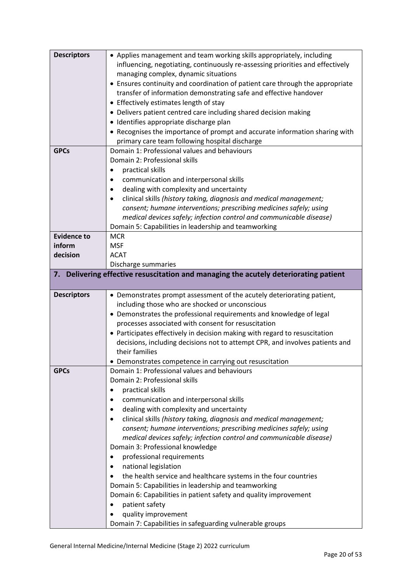| <b>Descriptors</b> | • Applies management and team working skills appropriately, including                |
|--------------------|--------------------------------------------------------------------------------------|
|                    | influencing, negotiating, continuously re-assessing priorities and effectively       |
|                    | managing complex, dynamic situations                                                 |
|                    | • Ensures continuity and coordination of patient care through the appropriate        |
|                    | transfer of information demonstrating safe and effective handover                    |
|                    | • Effectively estimates length of stay                                               |
|                    | • Delivers patient centred care including shared decision making                     |
|                    | · Identifies appropriate discharge plan                                              |
|                    | • Recognises the importance of prompt and accurate information sharing with          |
|                    | primary care team following hospital discharge                                       |
| <b>GPCs</b>        | Domain 1: Professional values and behaviours                                         |
|                    | Domain 2: Professional skills                                                        |
|                    | practical skills                                                                     |
|                    | communication and interpersonal skills                                               |
|                    | dealing with complexity and uncertainty                                              |
|                    | clinical skills (history taking, diagnosis and medical management;                   |
|                    | consent; humane interventions; prescribing medicines safely; using                   |
|                    | medical devices safely; infection control and communicable disease)                  |
|                    | Domain 5: Capabilities in leadership and teamworking                                 |
| <b>Evidence to</b> | <b>MCR</b>                                                                           |
| inform             | <b>MSF</b>                                                                           |
| decision           | <b>ACAT</b>                                                                          |
|                    | Discharge summaries                                                                  |
|                    | 7. Delivering effective resuscitation and managing the acutely deteriorating patient |
|                    |                                                                                      |
| <b>Descriptors</b> |                                                                                      |
|                    | • Demonstrates prompt assessment of the acutely deteriorating patient,               |
|                    | including those who are shocked or unconscious                                       |
|                    | • Demonstrates the professional requirements and knowledge of legal                  |
|                    | processes associated with consent for resuscitation                                  |
|                    | • Participates effectively in decision making with regard to resuscitation           |
|                    | decisions, including decisions not to attempt CPR, and involves patients and         |
|                    | their families                                                                       |
|                    | Demonstrates competence in carrying out resuscitation                                |
| <b>GPCs</b>        | Domain 1: Professional values and behaviours                                         |
|                    | Domain 2: Professional skills                                                        |
|                    | practical skills                                                                     |
|                    | communication and interpersonal skills                                               |
|                    | dealing with complexity and uncertainty                                              |
|                    | clinical skills (history taking, diagnosis and medical management;                   |
|                    | consent; humane interventions; prescribing medicines safely; using                   |
|                    | medical devices safely; infection control and communicable disease)                  |
|                    | Domain 3: Professional knowledge                                                     |
|                    |                                                                                      |
|                    | professional requirements                                                            |
|                    | national legislation<br>٠                                                            |
|                    | the health service and healthcare systems in the four countries                      |
|                    | Domain 5: Capabilities in leadership and teamworking                                 |
|                    | Domain 6: Capabilities in patient safety and quality improvement                     |
|                    | patient safety                                                                       |
|                    | quality improvement                                                                  |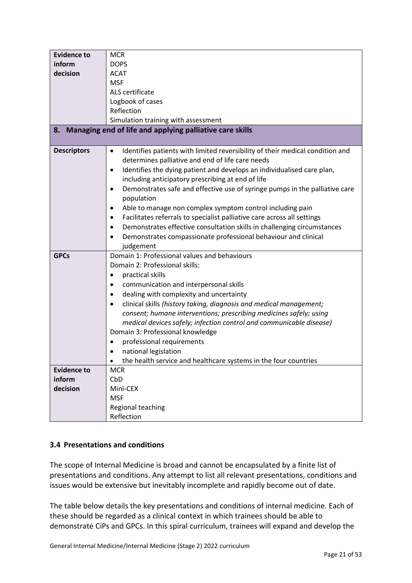| <b>Evidence to</b>                       | <b>MCR</b>                                                                                                                                                                                                                                                                                                                                                                                                                                                                                                                                                                                                                                                                                                                                                                                                                                                                                                                           |
|------------------------------------------|--------------------------------------------------------------------------------------------------------------------------------------------------------------------------------------------------------------------------------------------------------------------------------------------------------------------------------------------------------------------------------------------------------------------------------------------------------------------------------------------------------------------------------------------------------------------------------------------------------------------------------------------------------------------------------------------------------------------------------------------------------------------------------------------------------------------------------------------------------------------------------------------------------------------------------------|
| inform                                   | <b>DOPS</b>                                                                                                                                                                                                                                                                                                                                                                                                                                                                                                                                                                                                                                                                                                                                                                                                                                                                                                                          |
| decision                                 | <b>ACAT</b>                                                                                                                                                                                                                                                                                                                                                                                                                                                                                                                                                                                                                                                                                                                                                                                                                                                                                                                          |
|                                          | <b>MSF</b>                                                                                                                                                                                                                                                                                                                                                                                                                                                                                                                                                                                                                                                                                                                                                                                                                                                                                                                           |
|                                          | ALS certificate                                                                                                                                                                                                                                                                                                                                                                                                                                                                                                                                                                                                                                                                                                                                                                                                                                                                                                                      |
|                                          | Logbook of cases                                                                                                                                                                                                                                                                                                                                                                                                                                                                                                                                                                                                                                                                                                                                                                                                                                                                                                                     |
|                                          | Reflection                                                                                                                                                                                                                                                                                                                                                                                                                                                                                                                                                                                                                                                                                                                                                                                                                                                                                                                           |
|                                          | Simulation training with assessment                                                                                                                                                                                                                                                                                                                                                                                                                                                                                                                                                                                                                                                                                                                                                                                                                                                                                                  |
|                                          | 8. Managing end of life and applying palliative care skills                                                                                                                                                                                                                                                                                                                                                                                                                                                                                                                                                                                                                                                                                                                                                                                                                                                                          |
|                                          |                                                                                                                                                                                                                                                                                                                                                                                                                                                                                                                                                                                                                                                                                                                                                                                                                                                                                                                                      |
| <b>Descriptors</b>                       | Identifies patients with limited reversibility of their medical condition and<br>$\bullet$                                                                                                                                                                                                                                                                                                                                                                                                                                                                                                                                                                                                                                                                                                                                                                                                                                           |
|                                          | determines palliative and end of life care needs                                                                                                                                                                                                                                                                                                                                                                                                                                                                                                                                                                                                                                                                                                                                                                                                                                                                                     |
|                                          | Identifies the dying patient and develops an individualised care plan,<br>$\bullet$                                                                                                                                                                                                                                                                                                                                                                                                                                                                                                                                                                                                                                                                                                                                                                                                                                                  |
|                                          | including anticipatory prescribing at end of life                                                                                                                                                                                                                                                                                                                                                                                                                                                                                                                                                                                                                                                                                                                                                                                                                                                                                    |
|                                          | Demonstrates safe and effective use of syringe pumps in the palliative care<br>$\bullet$<br>population                                                                                                                                                                                                                                                                                                                                                                                                                                                                                                                                                                                                                                                                                                                                                                                                                               |
|                                          | $\bullet$                                                                                                                                                                                                                                                                                                                                                                                                                                                                                                                                                                                                                                                                                                                                                                                                                                                                                                                            |
|                                          | $\bullet$                                                                                                                                                                                                                                                                                                                                                                                                                                                                                                                                                                                                                                                                                                                                                                                                                                                                                                                            |
|                                          |                                                                                                                                                                                                                                                                                                                                                                                                                                                                                                                                                                                                                                                                                                                                                                                                                                                                                                                                      |
|                                          |                                                                                                                                                                                                                                                                                                                                                                                                                                                                                                                                                                                                                                                                                                                                                                                                                                                                                                                                      |
|                                          |                                                                                                                                                                                                                                                                                                                                                                                                                                                                                                                                                                                                                                                                                                                                                                                                                                                                                                                                      |
| <b>GPCs</b>                              | Domain 1: Professional values and behaviours                                                                                                                                                                                                                                                                                                                                                                                                                                                                                                                                                                                                                                                                                                                                                                                                                                                                                         |
|                                          |                                                                                                                                                                                                                                                                                                                                                                                                                                                                                                                                                                                                                                                                                                                                                                                                                                                                                                                                      |
|                                          | $\bullet$                                                                                                                                                                                                                                                                                                                                                                                                                                                                                                                                                                                                                                                                                                                                                                                                                                                                                                                            |
|                                          |                                                                                                                                                                                                                                                                                                                                                                                                                                                                                                                                                                                                                                                                                                                                                                                                                                                                                                                                      |
|                                          |                                                                                                                                                                                                                                                                                                                                                                                                                                                                                                                                                                                                                                                                                                                                                                                                                                                                                                                                      |
|                                          |                                                                                                                                                                                                                                                                                                                                                                                                                                                                                                                                                                                                                                                                                                                                                                                                                                                                                                                                      |
|                                          |                                                                                                                                                                                                                                                                                                                                                                                                                                                                                                                                                                                                                                                                                                                                                                                                                                                                                                                                      |
|                                          |                                                                                                                                                                                                                                                                                                                                                                                                                                                                                                                                                                                                                                                                                                                                                                                                                                                                                                                                      |
|                                          |                                                                                                                                                                                                                                                                                                                                                                                                                                                                                                                                                                                                                                                                                                                                                                                                                                                                                                                                      |
|                                          |                                                                                                                                                                                                                                                                                                                                                                                                                                                                                                                                                                                                                                                                                                                                                                                                                                                                                                                                      |
|                                          |                                                                                                                                                                                                                                                                                                                                                                                                                                                                                                                                                                                                                                                                                                                                                                                                                                                                                                                                      |
|                                          |                                                                                                                                                                                                                                                                                                                                                                                                                                                                                                                                                                                                                                                                                                                                                                                                                                                                                                                                      |
|                                          |                                                                                                                                                                                                                                                                                                                                                                                                                                                                                                                                                                                                                                                                                                                                                                                                                                                                                                                                      |
|                                          |                                                                                                                                                                                                                                                                                                                                                                                                                                                                                                                                                                                                                                                                                                                                                                                                                                                                                                                                      |
|                                          |                                                                                                                                                                                                                                                                                                                                                                                                                                                                                                                                                                                                                                                                                                                                                                                                                                                                                                                                      |
|                                          |                                                                                                                                                                                                                                                                                                                                                                                                                                                                                                                                                                                                                                                                                                                                                                                                                                                                                                                                      |
|                                          |                                                                                                                                                                                                                                                                                                                                                                                                                                                                                                                                                                                                                                                                                                                                                                                                                                                                                                                                      |
|                                          |                                                                                                                                                                                                                                                                                                                                                                                                                                                                                                                                                                                                                                                                                                                                                                                                                                                                                                                                      |
| <b>Evidence to</b><br>inform<br>decision | Able to manage non complex symptom control including pain<br>Facilitates referrals to specialist palliative care across all settings<br>Demonstrates effective consultation skills in challenging circumstances<br>Demonstrates compassionate professional behaviour and clinical<br>$\bullet$<br>judgement<br>Domain 2: Professional skills:<br>practical skills<br>communication and interpersonal skills<br>dealing with complexity and uncertainty<br>clinical skills (history taking, diagnosis and medical management;<br>consent; humane interventions; prescribing medicines safely; using<br>medical devices safely; infection control and communicable disease)<br>Domain 3: Professional knowledge<br>professional requirements<br>national legislation<br>the health service and healthcare systems in the four countries<br>$\bullet$<br><b>MCR</b><br>CbD<br>Mini-CEX<br><b>MSF</b><br>Regional teaching<br>Reflection |

# <span id="page-20-0"></span>**3.4 Presentations and conditions**

The scope of Internal Medicine is broad and cannot be encapsulated by a finite list of presentations and conditions. Any attempt to list all relevant presentations, conditions and issues would be extensive but inevitably incomplete and rapidly become out of date.

The table below details the key presentations and conditions of internal medicine. Each of these should be regarded as a clinical context in which trainees should be able to demonstrate CiPs and GPCs. In this spiral curriculum, trainees will expand and develop the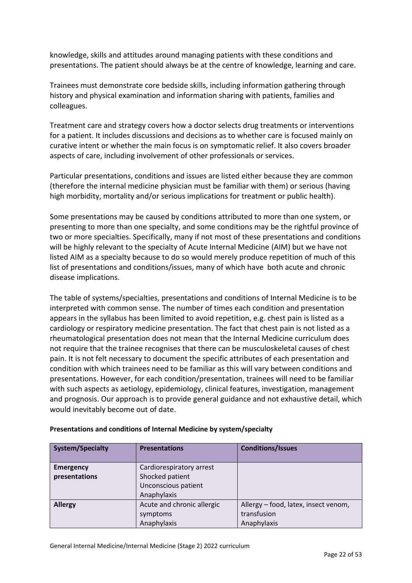knowledge, skills and attitudes around managing patients with these conditions and presentations. The patient should always be at the centre of knowledge, learning and care.

Trainees must demonstrate core bedside skills, including information gathering through history and physical examination and information sharing with patients, families and colleagues.

Treatment care and strategy covers how a doctor selects drug treatments or interventions for a patient. It includes discussions and decisions as to whether care is focused mainly on curative intent or whether the main focus is on symptomatic relief. It also covers broader aspects of care, including involvement of other professionals or services.

Particular presentations, conditions and issues are listed either because they are common (therefore the internal medicine physician must be familiar with them) or serious (having high morbidity, mortality and/or serious implications for treatment or public health).

Some presentations may be caused by conditions attributed to more than one system, or presenting to more than one specialty, and some conditions may be the rightful province of two or more specialties. Specifically, many if not most of these presentations and conditions will be highly relevant to the specialty of Acute Internal Medicine (AIM) but we have not listed AIM as a specialty because to do so would merely produce repetition of much of this list of presentations and conditions/issues, many of which have both acute and chronic disease implications.

The table of systems/specialties, presentations and conditions of Internal Medicine is to be interpreted with common sense. The number of times each condition and presentation appears in the syllabus has been limited to avoid repetition, e.g. chest pain is listed as a cardiology or respiratory medicine presentation. The fact that chest pain is not listed as a rheumatological presentation does not mean that the Internal Medicine curriculum does not require that the trainee recognises that there can be musculoskeletal causes of chest pain. It is not felt necessary to document the specific attributes of each presentation and condition with which trainees need to be familiar as this will vary between conditions and presentations. However, for each condition/presentation, trainees will need to be familiar with such aspects as aetiology, epidemiology, clinical features, investigation, management and prognosis. Our approach is to provide general guidance and not exhaustive detail, which would inevitably become out of date.

| <b>System/Specialty</b> | <b>Presentations</b>       | <b>Conditions/Issues</b>             |
|-------------------------|----------------------------|--------------------------------------|
| <b>Emergency</b>        | Cardiorespiratory arrest   |                                      |
| presentations           | Shocked patient            |                                      |
|                         | Unconscious patient        |                                      |
|                         | Anaphylaxis                |                                      |
| <b>Allergy</b>          | Acute and chronic allergic | Allergy – food, latex, insect venom, |
|                         | symptoms                   | transfusion                          |
|                         | Anaphylaxis                | Anaphylaxis                          |

### **Presentations and conditions of Internal Medicine by system/specialty**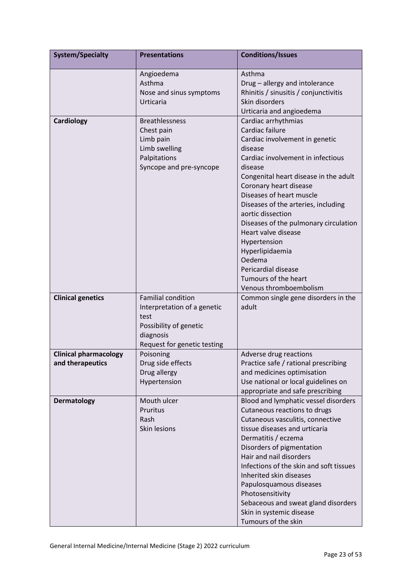| <b>System/Specialty</b>                          | <b>Presentations</b>                                                                                                                   | <b>Conditions/Issues</b>                                                                                                                                                                                                                                                                                                                                                                                                                                                             |
|--------------------------------------------------|----------------------------------------------------------------------------------------------------------------------------------------|--------------------------------------------------------------------------------------------------------------------------------------------------------------------------------------------------------------------------------------------------------------------------------------------------------------------------------------------------------------------------------------------------------------------------------------------------------------------------------------|
|                                                  | Angioedema<br>Asthma<br>Nose and sinus symptoms<br>Urticaria                                                                           | Asthma<br>Drug - allergy and intolerance<br>Rhinitis / sinusitis / conjunctivitis<br>Skin disorders<br>Urticaria and angioedema                                                                                                                                                                                                                                                                                                                                                      |
| Cardiology                                       | <b>Breathlessness</b><br>Chest pain<br>Limb pain<br>Limb swelling<br>Palpitations<br>Syncope and pre-syncope                           | Cardiac arrhythmias<br>Cardiac failure<br>Cardiac involvement in genetic<br>disease<br>Cardiac involvement in infectious<br>disease<br>Congenital heart disease in the adult<br>Coronary heart disease<br>Diseases of heart muscle<br>Diseases of the arteries, including<br>aortic dissection<br>Diseases of the pulmonary circulation<br>Heart valve disease<br>Hypertension<br>Hyperlipidaemia<br>Oedema<br>Pericardial disease<br>Tumours of the heart<br>Venous thromboembolism |
| <b>Clinical genetics</b>                         | <b>Familial condition</b><br>Interpretation of a genetic<br>test<br>Possibility of genetic<br>diagnosis<br>Request for genetic testing | Common single gene disorders in the<br>adult                                                                                                                                                                                                                                                                                                                                                                                                                                         |
| <b>Clinical pharmacology</b><br>and therapeutics | Poisoning<br>Drug side effects<br>Drug allergy<br>Hypertension                                                                         | Adverse drug reactions<br>Practice safe / rational prescribing<br>and medicines optimisation<br>Use national or local guidelines on<br>appropriate and safe prescribing                                                                                                                                                                                                                                                                                                              |
| <b>Dermatology</b>                               | Mouth ulcer<br>Pruritus<br>Rash<br>Skin lesions                                                                                        | Blood and lymphatic vessel disorders<br>Cutaneous reactions to drugs<br>Cutaneous vasculitis, connective<br>tissue diseases and urticaria<br>Dermatitis / eczema<br>Disorders of pigmentation<br>Hair and nail disorders<br>Infections of the skin and soft tissues<br>Inherited skin diseases<br>Papulosquamous diseases<br>Photosensitivity<br>Sebaceous and sweat gland disorders<br>Skin in systemic disease<br>Tumours of the skin                                              |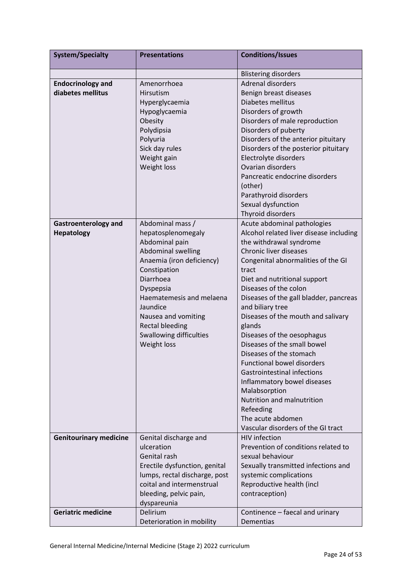| <b>System/Specialty</b>       | <b>Presentations</b>           | <b>Conditions/Issues</b>                |  |  |  |  |
|-------------------------------|--------------------------------|-----------------------------------------|--|--|--|--|
|                               |                                | <b>Blistering disorders</b>             |  |  |  |  |
| <b>Endocrinology and</b>      | Amenorrhoea                    | <b>Adrenal disorders</b>                |  |  |  |  |
| diabetes mellitus             | <b>Hirsutism</b>               | Benign breast diseases                  |  |  |  |  |
|                               | Hyperglycaemia                 | Diabetes mellitus                       |  |  |  |  |
|                               | Hypoglycaemia                  | Disorders of growth                     |  |  |  |  |
|                               | Obesity                        | Disorders of male reproduction          |  |  |  |  |
|                               | Polydipsia                     | Disorders of puberty                    |  |  |  |  |
|                               | Polyuria                       | Disorders of the anterior pituitary     |  |  |  |  |
|                               | Sick day rules                 | Disorders of the posterior pituitary    |  |  |  |  |
|                               | Weight gain                    | Electrolyte disorders                   |  |  |  |  |
|                               | Weight loss                    | Ovarian disorders                       |  |  |  |  |
|                               |                                | Pancreatic endocrine disorders          |  |  |  |  |
|                               |                                | (other)                                 |  |  |  |  |
|                               |                                | Parathyroid disorders                   |  |  |  |  |
|                               |                                | Sexual dysfunction                      |  |  |  |  |
|                               |                                | Thyroid disorders                       |  |  |  |  |
| <b>Gastroenterology and</b>   | Abdominal mass /               | Acute abdominal pathologies             |  |  |  |  |
| <b>Hepatology</b>             | hepatosplenomegaly             | Alcohol related liver disease including |  |  |  |  |
|                               | Abdominal pain                 | the withdrawal syndrome                 |  |  |  |  |
|                               | Abdominal swelling             | Chronic liver diseases                  |  |  |  |  |
|                               | Anaemia (iron deficiency)      | Congenital abnormalities of the GI      |  |  |  |  |
|                               | Constipation                   | tract                                   |  |  |  |  |
|                               | Diarrhoea                      | Diet and nutritional support            |  |  |  |  |
|                               | Dyspepsia                      | Diseases of the colon                   |  |  |  |  |
|                               | Haematemesis and melaena       | Diseases of the gall bladder, pancreas  |  |  |  |  |
|                               | Jaundice                       | and biliary tree                        |  |  |  |  |
|                               | Nausea and vomiting            | Diseases of the mouth and salivary      |  |  |  |  |
|                               | <b>Rectal bleeding</b>         | glands                                  |  |  |  |  |
|                               | <b>Swallowing difficulties</b> | Diseases of the oesophagus              |  |  |  |  |
|                               | Weight loss                    | Diseases of the small bowel             |  |  |  |  |
|                               |                                | Diseases of the stomach                 |  |  |  |  |
|                               |                                | <b>Functional bowel disorders</b>       |  |  |  |  |
|                               |                                | <b>Gastrointestinal infections</b>      |  |  |  |  |
|                               |                                | Inflammatory bowel diseases             |  |  |  |  |
|                               |                                | Malabsorption                           |  |  |  |  |
|                               |                                | Nutrition and malnutrition              |  |  |  |  |
|                               |                                | Refeeding                               |  |  |  |  |
|                               |                                | The acute abdomen                       |  |  |  |  |
|                               |                                | Vascular disorders of the GI tract      |  |  |  |  |
| <b>Genitourinary medicine</b> | Genital discharge and          | <b>HIV</b> infection                    |  |  |  |  |
|                               | ulceration                     | Prevention of conditions related to     |  |  |  |  |
|                               | Genital rash                   | sexual behaviour                        |  |  |  |  |
|                               | Erectile dysfunction, genital  | Sexually transmitted infections and     |  |  |  |  |
|                               | lumps, rectal discharge, post  | systemic complications                  |  |  |  |  |
|                               | coital and intermenstrual      | Reproductive health (incl               |  |  |  |  |
|                               | bleeding, pelvic pain,         | contraception)                          |  |  |  |  |
|                               | dyspareunia                    |                                         |  |  |  |  |
| <b>Geriatric medicine</b>     | Delirium                       | Continence - faecal and urinary         |  |  |  |  |
|                               | Deterioration in mobility      | Dementias                               |  |  |  |  |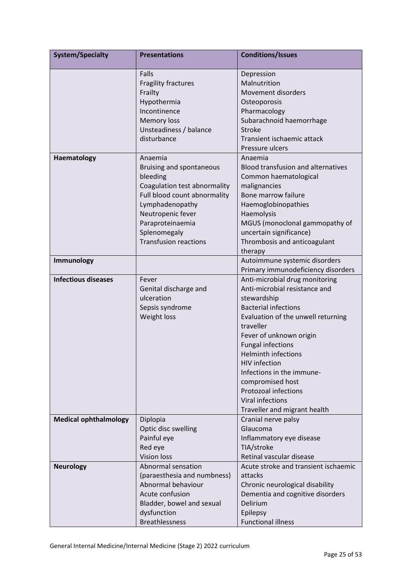| <b>System/Specialty</b>      | <b>Presentations</b>               | <b>Conditions/Issues</b>                  |  |  |  |  |
|------------------------------|------------------------------------|-------------------------------------------|--|--|--|--|
|                              | Falls                              | Depression                                |  |  |  |  |
|                              | <b>Fragility fractures</b>         | Malnutrition                              |  |  |  |  |
|                              | Frailty                            | <b>Movement disorders</b>                 |  |  |  |  |
|                              | Hypothermia                        | Osteoporosis                              |  |  |  |  |
|                              | Incontinence                       | Pharmacology                              |  |  |  |  |
|                              | <b>Memory loss</b>                 | Subarachnoid haemorrhage                  |  |  |  |  |
|                              | Unsteadiness / balance             | <b>Stroke</b>                             |  |  |  |  |
|                              | disturbance                        | Transient ischaemic attack                |  |  |  |  |
|                              |                                    | Pressure ulcers                           |  |  |  |  |
| Haematology                  | Anaemia                            | Anaemia                                   |  |  |  |  |
|                              | Bruising and spontaneous           | <b>Blood transfusion and alternatives</b> |  |  |  |  |
|                              | bleeding                           | Common haematological                     |  |  |  |  |
|                              | Coagulation test abnormality       | malignancies                              |  |  |  |  |
|                              | Full blood count abnormality       | Bone marrow failure                       |  |  |  |  |
|                              | Lymphadenopathy                    | Haemoglobinopathies                       |  |  |  |  |
|                              | Neutropenic fever                  | Haemolysis                                |  |  |  |  |
|                              | Paraproteinaemia                   | MGUS (monoclonal gammopathy of            |  |  |  |  |
|                              | Splenomegaly                       | uncertain significance)                   |  |  |  |  |
|                              | <b>Transfusion reactions</b>       | Thrombosis and anticoagulant              |  |  |  |  |
|                              |                                    | therapy                                   |  |  |  |  |
| Immunology                   |                                    | Autoimmune systemic disorders             |  |  |  |  |
|                              |                                    | Primary immunodeficiency disorders        |  |  |  |  |
| <b>Infectious diseases</b>   | Fever                              | Anti-microbial drug monitoring            |  |  |  |  |
|                              | Genital discharge and              | Anti-microbial resistance and             |  |  |  |  |
|                              | ulceration                         | stewardship                               |  |  |  |  |
|                              | Sepsis syndrome                    | <b>Bacterial infections</b>               |  |  |  |  |
|                              | Weight loss                        | Evaluation of the unwell returning        |  |  |  |  |
|                              |                                    | traveller                                 |  |  |  |  |
|                              |                                    | Fever of unknown origin                   |  |  |  |  |
|                              |                                    | <b>Fungal infections</b>                  |  |  |  |  |
|                              |                                    | <b>Helminth infections</b>                |  |  |  |  |
|                              |                                    | <b>HIV</b> infection                      |  |  |  |  |
|                              |                                    | Infections in the immune-                 |  |  |  |  |
|                              |                                    | compromised host                          |  |  |  |  |
|                              |                                    | Protozoal infections                      |  |  |  |  |
|                              |                                    | Viral infections                          |  |  |  |  |
|                              |                                    | Traveller and migrant health              |  |  |  |  |
| <b>Medical ophthalmology</b> | Diplopia                           | Cranial nerve palsy                       |  |  |  |  |
|                              |                                    | Glaucoma                                  |  |  |  |  |
|                              | Optic disc swelling<br>Painful eye | Inflammatory eye disease                  |  |  |  |  |
|                              |                                    | TIA/stroke                                |  |  |  |  |
|                              | Red eye<br><b>Vision loss</b>      | Retinal vascular disease                  |  |  |  |  |
|                              | Abnormal sensation                 | Acute stroke and transient ischaemic      |  |  |  |  |
| <b>Neurology</b>             |                                    |                                           |  |  |  |  |
|                              | (paraesthesia and numbness)        | attacks                                   |  |  |  |  |
|                              | Abnormal behaviour                 | Chronic neurological disability           |  |  |  |  |
|                              | Acute confusion                    | Dementia and cognitive disorders          |  |  |  |  |
|                              | Bladder, bowel and sexual          | Delirium                                  |  |  |  |  |
|                              | dysfunction                        | Epilepsy                                  |  |  |  |  |
|                              | <b>Breathlessness</b>              | <b>Functional illness</b>                 |  |  |  |  |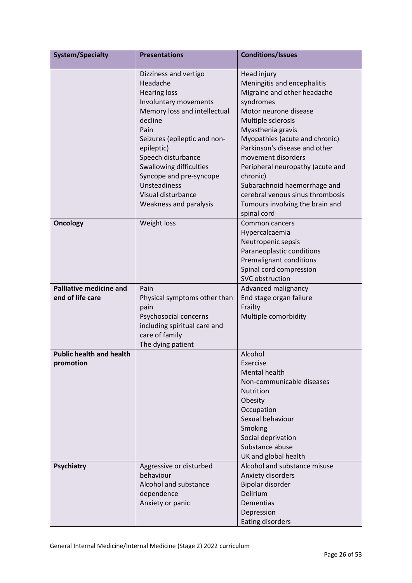| <b>System/Specialty</b>                            | <b>Presentations</b>                                                                                                                                                                                                                                                                                                           | <b>Conditions/Issues</b>                                                                                                                                                                                                                                                                                                                                                                                                  |
|----------------------------------------------------|--------------------------------------------------------------------------------------------------------------------------------------------------------------------------------------------------------------------------------------------------------------------------------------------------------------------------------|---------------------------------------------------------------------------------------------------------------------------------------------------------------------------------------------------------------------------------------------------------------------------------------------------------------------------------------------------------------------------------------------------------------------------|
|                                                    | Dizziness and vertigo<br>Headache<br><b>Hearing loss</b><br>Involuntary movements<br>Memory loss and intellectual<br>decline<br>Pain<br>Seizures (epileptic and non-<br>epileptic)<br>Speech disturbance<br>Swallowing difficulties<br>Syncope and pre-syncope<br>Unsteadiness<br>Visual disturbance<br>Weakness and paralysis | Head injury<br>Meningitis and encephalitis<br>Migraine and other headache<br>syndromes<br>Motor neurone disease<br>Multiple sclerosis<br>Myasthenia gravis<br>Myopathies (acute and chronic)<br>Parkinson's disease and other<br>movement disorders<br>Peripheral neuropathy (acute and<br>chronic)<br>Subarachnoid haemorrhage and<br>cerebral venous sinus thrombosis<br>Tumours involving the brain and<br>spinal cord |
| <b>Oncology</b>                                    | Weight loss                                                                                                                                                                                                                                                                                                                    | Common cancers<br>Hypercalcaemia<br>Neutropenic sepsis<br>Paraneoplastic conditions<br>Premalignant conditions<br>Spinal cord compression<br>SVC obstruction                                                                                                                                                                                                                                                              |
| <b>Palliative medicine and</b><br>end of life care | Pain<br>Physical symptoms other than<br>pain<br>Psychosocial concerns<br>including spiritual care and<br>care of family<br>The dying patient                                                                                                                                                                                   | Advanced malignancy<br>End stage organ failure<br>Frailty<br>Multiple comorbidity                                                                                                                                                                                                                                                                                                                                         |
| <b>Public health and health</b><br>promotion       |                                                                                                                                                                                                                                                                                                                                | Alcohol<br>Exercise<br><b>Mental health</b><br>Non-communicable diseases<br><b>Nutrition</b><br>Obesity<br>Occupation<br>Sexual behaviour<br>Smoking<br>Social deprivation<br>Substance abuse<br>UK and global health                                                                                                                                                                                                     |
| <b>Psychiatry</b>                                  | Aggressive or disturbed<br>behaviour<br>Alcohol and substance<br>dependence<br>Anxiety or panic                                                                                                                                                                                                                                | Alcohol and substance misuse<br>Anxiety disorders<br>Bipolar disorder<br>Delirium<br><b>Dementias</b><br>Depression<br><b>Eating disorders</b>                                                                                                                                                                                                                                                                            |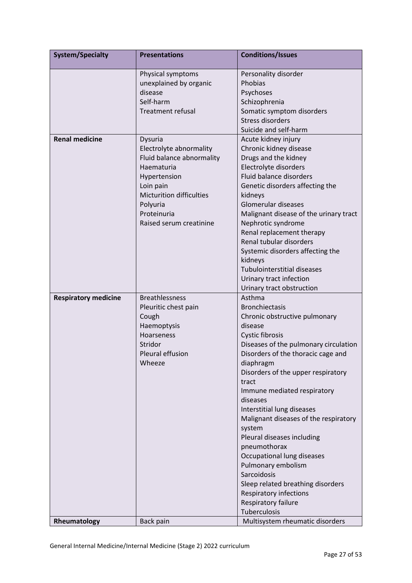| <b>System/Specialty</b>     | <b>Presentations</b>            | <b>Conditions/Issues</b>                                            |  |  |  |  |
|-----------------------------|---------------------------------|---------------------------------------------------------------------|--|--|--|--|
|                             | Physical symptoms               | Personality disorder                                                |  |  |  |  |
|                             | unexplained by organic          | Phobias                                                             |  |  |  |  |
|                             | disease                         | Psychoses                                                           |  |  |  |  |
|                             | Self-harm                       | Schizophrenia                                                       |  |  |  |  |
|                             | <b>Treatment refusal</b>        | Somatic symptom disorders                                           |  |  |  |  |
|                             |                                 | <b>Stress disorders</b>                                             |  |  |  |  |
|                             |                                 | Suicide and self-harm                                               |  |  |  |  |
| <b>Renal medicine</b>       | Dysuria                         | Acute kidney injury                                                 |  |  |  |  |
|                             | Electrolyte abnormality         | Chronic kidney disease                                              |  |  |  |  |
|                             | Fluid balance abnormality       | Drugs and the kidney                                                |  |  |  |  |
|                             | Haematuria                      | Electrolyte disorders                                               |  |  |  |  |
|                             | Hypertension                    | Fluid balance disorders                                             |  |  |  |  |
|                             | Loin pain                       | Genetic disorders affecting the                                     |  |  |  |  |
|                             | <b>Micturition difficulties</b> | kidneys                                                             |  |  |  |  |
|                             | Polyuria                        | Glomerular diseases                                                 |  |  |  |  |
|                             | Proteinuria                     | Malignant disease of the urinary tract                              |  |  |  |  |
|                             | Raised serum creatinine         | Nephrotic syndrome                                                  |  |  |  |  |
|                             |                                 | Renal replacement therapy                                           |  |  |  |  |
|                             |                                 | Renal tubular disorders                                             |  |  |  |  |
|                             |                                 | Systemic disorders affecting the                                    |  |  |  |  |
|                             |                                 | kidneys                                                             |  |  |  |  |
|                             |                                 | <b>Tubulointerstitial diseases</b>                                  |  |  |  |  |
|                             |                                 | Urinary tract infection                                             |  |  |  |  |
|                             |                                 | Urinary tract obstruction                                           |  |  |  |  |
| <b>Respiratory medicine</b> | <b>Breathlessness</b>           | Asthma                                                              |  |  |  |  |
|                             | Pleuritic chest pain            | <b>Bronchiectasis</b>                                               |  |  |  |  |
|                             | Cough                           | Chronic obstructive pulmonary                                       |  |  |  |  |
|                             | Haemoptysis                     | disease                                                             |  |  |  |  |
|                             | Hoarseness                      | <b>Cystic fibrosis</b>                                              |  |  |  |  |
|                             | Stridor                         | Diseases of the pulmonary circulation                               |  |  |  |  |
|                             | Pleural effusion                | Disorders of the thoracic cage and                                  |  |  |  |  |
|                             | Wheeze                          | diaphragm                                                           |  |  |  |  |
|                             |                                 | Disorders of the upper respiratory<br>tract                         |  |  |  |  |
|                             |                                 |                                                                     |  |  |  |  |
|                             |                                 | Immune mediated respiratory                                         |  |  |  |  |
|                             |                                 | diseases                                                            |  |  |  |  |
|                             |                                 | Interstitial lung diseases<br>Malignant diseases of the respiratory |  |  |  |  |
|                             |                                 | system                                                              |  |  |  |  |
|                             |                                 | Pleural diseases including                                          |  |  |  |  |
|                             |                                 | pneumothorax                                                        |  |  |  |  |
|                             |                                 | Occupational lung diseases                                          |  |  |  |  |
|                             |                                 | Pulmonary embolism                                                  |  |  |  |  |
|                             |                                 | Sarcoidosis                                                         |  |  |  |  |
|                             |                                 | Sleep related breathing disorders                                   |  |  |  |  |
|                             |                                 | Respiratory infections                                              |  |  |  |  |
|                             |                                 | Respiratory failure                                                 |  |  |  |  |
|                             |                                 | Tuberculosis                                                        |  |  |  |  |
| Rheumatology                | Back pain                       | Multisystem rheumatic disorders                                     |  |  |  |  |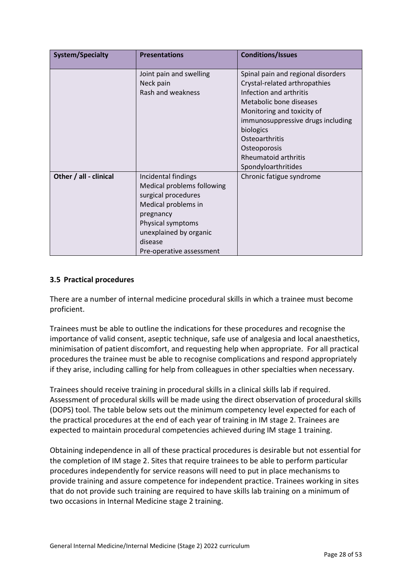| <b>System/Specialty</b> | <b>Presentations</b>                                                                                                                                                                               | <b>Conditions/Issues</b>                                                                                                                                                                                                                                                                          |
|-------------------------|----------------------------------------------------------------------------------------------------------------------------------------------------------------------------------------------------|---------------------------------------------------------------------------------------------------------------------------------------------------------------------------------------------------------------------------------------------------------------------------------------------------|
|                         | Joint pain and swelling<br>Neck pain<br>Rash and weakness                                                                                                                                          | Spinal pain and regional disorders<br>Crystal-related arthropathies<br>Infection and arthritis<br>Metabolic bone diseases<br>Monitoring and toxicity of<br>immunosuppressive drugs including<br>biologics<br>Osteoarthritis<br>Osteoporosis<br><b>Rheumatoid arthritis</b><br>Spondyloarthritides |
| Other / all - clinical  | Incidental findings<br>Medical problems following<br>surgical procedures<br>Medical problems in<br>pregnancy<br>Physical symptoms<br>unexplained by organic<br>disease<br>Pre-operative assessment | Chronic fatigue syndrome                                                                                                                                                                                                                                                                          |

# <span id="page-27-0"></span>**3.5 Practical procedures**

There are a number of internal medicine procedural skills in which a trainee must become proficient.

Trainees must be able to outline the indications for these procedures and recognise the importance of valid consent, aseptic technique, safe use of analgesia and local anaesthetics, minimisation of patient discomfort, and requesting help when appropriate. For all practical procedures the trainee must be able to recognise complications and respond appropriately if they arise, including calling for help from colleagues in other specialties when necessary.

Trainees should receive training in procedural skills in a clinical skills lab if required. Assessment of procedural skills will be made using the direct observation of procedural skills (DOPS) tool. The table below sets out the minimum competency level expected for each of the practical procedures at the end of each year of training in IM stage 2. Trainees are expected to maintain procedural competencies achieved during IM stage 1 training.

Obtaining independence in all of these practical procedures is desirable but not essential for the completion of IM stage 2. Sites that require trainees to be able to perform particular procedures independently for service reasons will need to put in place mechanisms to provide training and assure competence for independent practice. Trainees working in sites that do not provide such training are required to have skills lab training on a minimum of two occasions in Internal Medicine stage 2 training.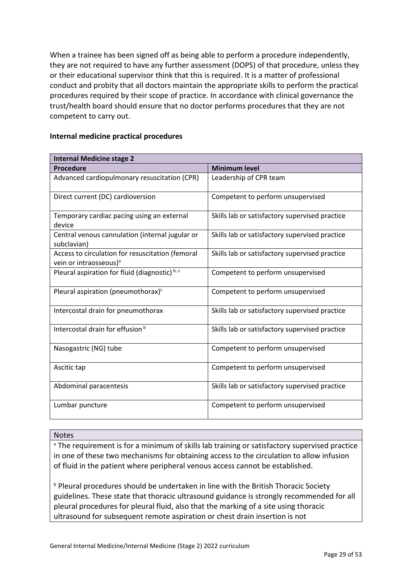When a trainee has been signed off as being able to perform a procedure independently, they are not required to have any further assessment (DOPS) of that procedure, unless they or their educational supervisor think that this is required. It is a matter of professional conduct and probity that all doctors maintain the appropriate skills to perform the practical procedures required by their scope of practice. In accordance with clinical governance the trust/health board should ensure that no doctor performs procedures that they are not competent to carry out.

| <b>Internal Medicine stage 2</b>                                                       |                                                |
|----------------------------------------------------------------------------------------|------------------------------------------------|
| <b>Procedure</b>                                                                       | <b>Minimum level</b>                           |
| Advanced cardiopulmonary resuscitation (CPR)                                           | Leadership of CPR team                         |
| Direct current (DC) cardioversion                                                      | Competent to perform unsupervised              |
| Temporary cardiac pacing using an external<br>device                                   | Skills lab or satisfactory supervised practice |
| Central venous cannulation (internal jugular or<br>subclavian)                         | Skills lab or satisfactory supervised practice |
| Access to circulation for resuscitation (femoral<br>vein or intraosseous) <sup>a</sup> | Skills lab or satisfactory supervised practice |
| Pleural aspiration for fluid (diagnostic) b, c                                         | Competent to perform unsupervised              |
| Pleural aspiration (pneumothorax) <sup>c</sup>                                         | Competent to perform unsupervised              |
| Intercostal drain for pneumothorax                                                     | Skills lab or satisfactory supervised practice |
| Intercostal drain for effusion <sup>b</sup>                                            | Skills lab or satisfactory supervised practice |
| Nasogastric (NG) tube                                                                  | Competent to perform unsupervised              |
| Ascitic tap                                                                            | Competent to perform unsupervised              |
| Abdominal paracentesis                                                                 | Skills lab or satisfactory supervised practice |
| Lumbar puncture                                                                        | Competent to perform unsupervised              |

#### **Internal medicine practical procedures**

#### Notes

<sup>a</sup> The requirement is for a minimum of skills lab training or satisfactory supervised practice in one of these two mechanisms for obtaining access to the circulation to allow infusion of fluid in the patient where peripheral venous access cannot be established.

**b Pleural procedures should be undertaken in line with the British Thoracic Society** guidelines. These state that thoracic ultrasound guidance is strongly recommended for all pleural procedures for pleural fluid, also that the marking of a site using thoracic ultrasound for subsequent remote aspiration or chest drain insertion is not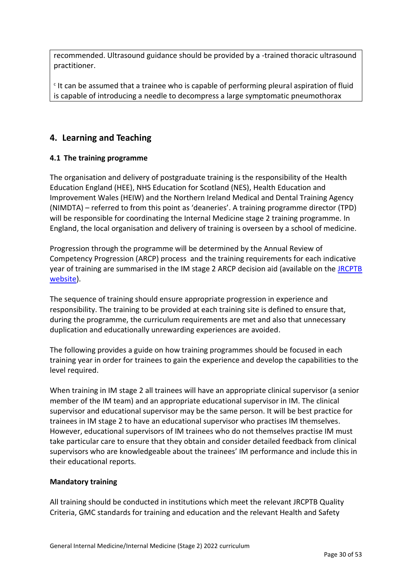recommended. Ultrasound guidance should be provided by a -trained thoracic ultrasound practitioner.

 $c$  It can be assumed that a trainee who is capable of performing pleural aspiration of fluid is capable of introducing a needle to decompress a large symptomatic pneumothorax

# <span id="page-29-0"></span>**4. Learning and Teaching**

# <span id="page-29-1"></span>**4.1 The training programme**

The organisation and delivery of postgraduate training is the responsibility of the Health Education England (HEE), NHS Education for Scotland (NES), Health Education and Improvement Wales (HEIW) and the Northern Ireland Medical and Dental Training Agency (NIMDTA) – referred to from this point as 'deaneries'. A training programme director (TPD) will be responsible for coordinating the Internal Medicine stage 2 training programme. In England, the local organisation and delivery of training is overseen by a school of medicine.

Progression through the programme will be determined by the Annual Review of Competency Progression (ARCP) process and the training requirements for each indicative year of training are summarised in the IM stage 2 ARCP decision aid (available on the [JRCPTB](http://www.jrcptb.org.uk/)  [website\)](http://www.jrcptb.org.uk/).

The sequence of training should ensure appropriate progression in experience and responsibility. The training to be provided at each training site is defined to ensure that, during the programme, the curriculum requirements are met and also that unnecessary duplication and educationally unrewarding experiences are avoided.

The following provides a guide on how training programmes should be focused in each training year in order for trainees to gain the experience and develop the capabilities to the level required.

When training in IM stage 2 all trainees will have an appropriate clinical supervisor (a senior member of the IM team) and an appropriate educational supervisor in IM. The clinical supervisor and educational supervisor may be the same person. It will be best practice for trainees in IM stage 2 to have an educational supervisor who practises IM themselves. However, educational supervisors of IM trainees who do not themselves practise IM must take particular care to ensure that they obtain and consider detailed feedback from clinical supervisors who are knowledgeable about the trainees' IM performance and include this in their educational reports.

# **Mandatory training**

All training should be conducted in institutions which meet the relevant JRCPTB Quality Criteria, GMC standards for training and education and the relevant Health and Safety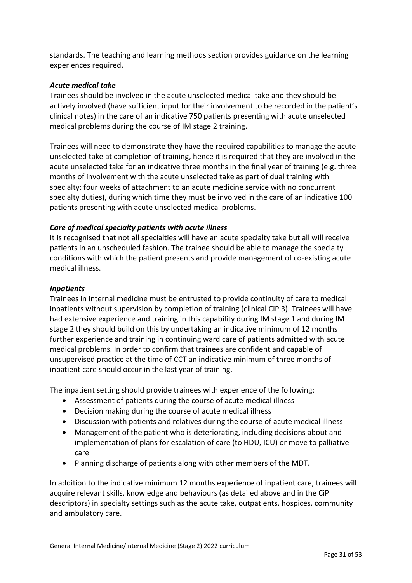standards. The teaching and learning methods section provides guidance on the learning experiences required.

#### *Acute medical take*

Trainees should be involved in the acute unselected medical take and they should be actively involved (have sufficient input for their involvement to be recorded in the patient's clinical notes) in the care of an indicative 750 patients presenting with acute unselected medical problems during the course of IM stage 2 training.

Trainees will need to demonstrate they have the required capabilities to manage the acute unselected take at completion of training, hence it is required that they are involved in the acute unselected take for an indicative three months in the final year of training (e.g. three months of involvement with the acute unselected take as part of dual training with specialty; four weeks of attachment to an acute medicine service with no concurrent specialty duties), during which time they must be involved in the care of an indicative 100 patients presenting with acute unselected medical problems.

### *Care of medical specialty patients with acute illness*

It is recognised that not all specialties will have an acute specialty take but all will receive patients in an unscheduled fashion. The trainee should be able to manage the specialty conditions with which the patient presents and provide management of co-existing acute medical illness.

#### *Inpatients*

Trainees in internal medicine must be entrusted to provide continuity of care to medical inpatients without supervision by completion of training (clinical CiP 3). Trainees will have had extensive experience and training in this capability during IM stage 1 and during IM stage 2 they should build on this by undertaking an indicative minimum of 12 months further experience and training in continuing ward care of patients admitted with acute medical problems. In order to confirm that trainees are confident and capable of unsupervised practice at the time of CCT an indicative minimum of three months of inpatient care should occur in the last year of training.

The inpatient setting should provide trainees with experience of the following:

- Assessment of patients during the course of acute medical illness
- Decision making during the course of acute medical illness
- Discussion with patients and relatives during the course of acute medical illness
- Management of the patient who is deteriorating, including decisions about and implementation of plans for escalation of care (to HDU, ICU) or move to palliative care
- Planning discharge of patients along with other members of the MDT.

In addition to the indicative minimum 12 months experience of inpatient care, trainees will acquire relevant skills, knowledge and behaviours (as detailed above and in the CiP descriptors) in specialty settings such as the acute take, outpatients, hospices, community and ambulatory care.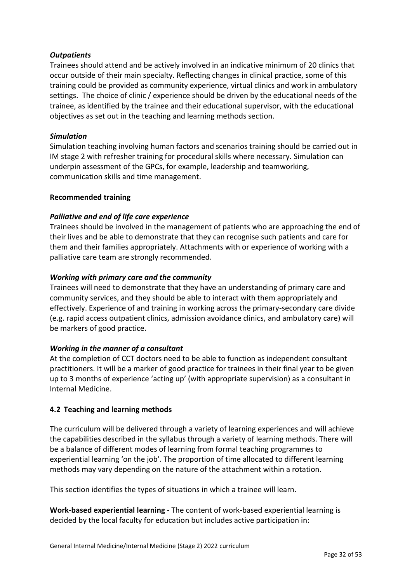# *Outpatients*

Trainees should attend and be actively involved in an indicative minimum of 20 clinics that occur outside of their main specialty. Reflecting changes in clinical practice, some of this training could be provided as community experience, virtual clinics and work in ambulatory settings. The choice of clinic / experience should be driven by the educational needs of the trainee, as identified by the trainee and their educational supervisor, with the educational objectives as set out in the teaching and learning methods section.

### *Simulation*

Simulation teaching involving human factors and scenarios training should be carried out in IM stage 2 with refresher training for procedural skills where necessary. Simulation can underpin assessment of the GPCs, for example, leadership and teamworking, communication skills and time management.

### **Recommended training**

# *Palliative and end of life care experience*

Trainees should be involved in the management of patients who are approaching the end of their lives and be able to demonstrate that they can recognise such patients and care for them and their families appropriately. Attachments with or experience of working with a palliative care team are strongly recommended.

### *Working with primary care and the community*

Trainees will need to demonstrate that they have an understanding of primary care and community services, and they should be able to interact with them appropriately and effectively. Experience of and training in working across the primary-secondary care divide (e.g. rapid access outpatient clinics, admission avoidance clinics, and ambulatory care) will be markers of good practice.

### *Working in the manner of a consultant*

At the completion of CCT doctors need to be able to function as independent consultant practitioners. It will be a marker of good practice for trainees in their final year to be given up to 3 months of experience 'acting up' (with appropriate supervision) as a consultant in Internal Medicine.

### <span id="page-31-0"></span>**4.2 Teaching and learning methods**

The curriculum will be delivered through a variety of learning experiences and will achieve the capabilities described in the syllabus through a variety of learning methods. There will be a balance of different modes of learning from formal teaching programmes to experiential learning 'on the job'. The proportion of time allocated to different learning methods may vary depending on the nature of the attachment within a rotation.

This section identifies the types of situations in which a trainee will learn.

**Work-based experiential learning** - The content of work-based experiential learning is decided by the local faculty for education but includes active participation in: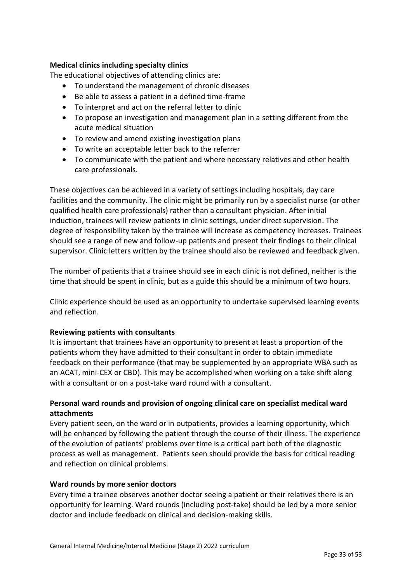# **Medical clinics including specialty clinics**

The educational objectives of attending clinics are:

- To understand the management of chronic diseases
- Be able to assess a patient in a defined time-frame
- To interpret and act on the referral letter to clinic
- To propose an investigation and management plan in a setting different from the acute medical situation
- To review and amend existing investigation plans
- To write an acceptable letter back to the referrer
- To communicate with the patient and where necessary relatives and other health care professionals.

These objectives can be achieved in a variety of settings including hospitals, day care facilities and the community. The clinic might be primarily run by a specialist nurse (or other qualified health care professionals) rather than a consultant physician. After initial induction, trainees will review patients in clinic settings, under direct supervision. The degree of responsibility taken by the trainee will increase as competency increases. Trainees should see a range of new and follow-up patients and present their findings to their clinical supervisor. Clinic letters written by the trainee should also be reviewed and feedback given.

The number of patients that a trainee should see in each clinic is not defined, neither is the time that should be spent in clinic, but as a guide this should be a minimum of two hours.

Clinic experience should be used as an opportunity to undertake supervised learning events and reflection.

### **Reviewing patients with consultants**

It is important that trainees have an opportunity to present at least a proportion of the patients whom they have admitted to their consultant in order to obtain immediate feedback on their performance (that may be supplemented by an appropriate WBA such as an ACAT, mini-CEX or CBD). This may be accomplished when working on a take shift along with a consultant or on a post-take ward round with a consultant.

# **Personal ward rounds and provision of ongoing clinical care on specialist medical ward attachments**

Every patient seen, on the ward or in outpatients, provides a learning opportunity, which will be enhanced by following the patient through the course of their illness. The experience of the evolution of patients' problems over time is a critical part both of the diagnostic process as well as management. Patients seen should provide the basis for critical reading and reflection on clinical problems.

# **Ward rounds by more senior doctors**

Every time a trainee observes another doctor seeing a patient or their relatives there is an opportunity for learning. Ward rounds (including post-take) should be led by a more senior doctor and include feedback on clinical and decision-making skills.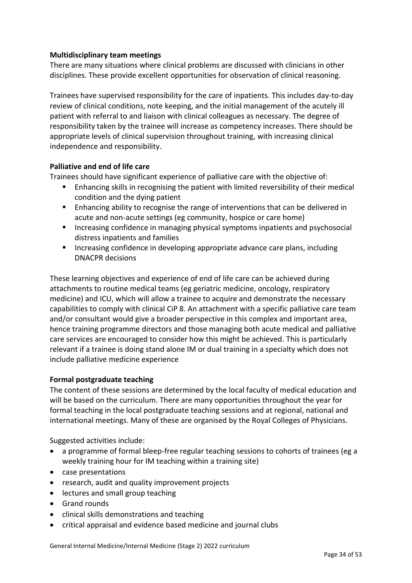# **Multidisciplinary team meetings**

There are many situations where clinical problems are discussed with clinicians in other disciplines. These provide excellent opportunities for observation of clinical reasoning.

Trainees have supervised responsibility for the care of inpatients. This includes day-to-day review of clinical conditions, note keeping, and the initial management of the acutely ill patient with referral to and liaison with clinical colleagues as necessary. The degree of responsibility taken by the trainee will increase as competency increases. There should be appropriate levels of clinical supervision throughout training, with increasing clinical independence and responsibility.

# **Palliative and end of life care**

Trainees should have significant experience of palliative care with the objective of:

- Enhancing skills in recognising the patient with limited reversibility of their medical condition and the dying patient
- Enhancing ability to recognise the range of interventions that can be delivered in acute and non-acute settings (eg community, hospice or care home)
- Increasing confidence in managing physical symptoms inpatients and psychosocial distress inpatients and families
- Increasing confidence in developing appropriate advance care plans, including DNACPR decisions

These learning objectives and experience of end of life care can be achieved during attachments to routine medical teams (eg geriatric medicine, oncology, respiratory medicine) and ICU, which will allow a trainee to acquire and demonstrate the necessary capabilities to comply with clinical CiP 8. An attachment with a specific palliative care team and/or consultant would give a broader perspective in this complex and important area, hence training programme directors and those managing both acute medical and palliative care services are encouraged to consider how this might be achieved. This is particularly relevant if a trainee is doing stand alone IM or dual training in a specialty which does not include palliative medicine experience

### **Formal postgraduate teaching**

The content of these sessions are determined by the local faculty of medical education and will be based on the curriculum. There are many opportunities throughout the year for formal teaching in the local postgraduate teaching sessions and at regional, national and international meetings. Many of these are organised by the Royal Colleges of Physicians.

Suggested activities include:

- a programme of formal bleep-free regular teaching sessions to cohorts of trainees (eg a weekly training hour for IM teaching within a training site)
- case presentations
- research, audit and quality improvement projects
- lectures and small group teaching
- Grand rounds
- clinical skills demonstrations and teaching
- critical appraisal and evidence based medicine and journal clubs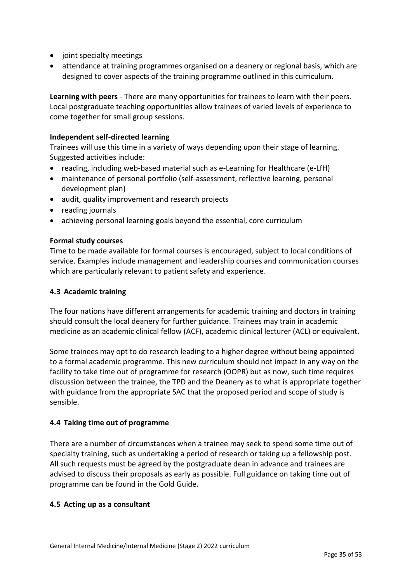- joint specialty meetings
- attendance at training programmes organised on a deanery or regional basis, which are designed to cover aspects of the training programme outlined in this curriculum.

**Learning with peers** - There are many opportunities for trainees to learn with their peers. Local postgraduate teaching opportunities allow trainees of varied levels of experience to come together for small group sessions.

### **Independent self-directed learning**

Trainees will use this time in a variety of ways depending upon their stage of learning. Suggested activities include:

- reading, including web-based material such as e-Learning for Healthcare (e-LfH)
- maintenance of personal portfolio (self-assessment, reflective learning, personal development plan)
- audit, quality improvement and research projects
- reading journals
- achieving personal learning goals beyond the essential, core curriculum

### **Formal study courses**

Time to be made available for formal courses is encouraged, subject to local conditions of service. Examples include management and leadership courses and communication courses which are particularly relevant to patient safety and experience.

#### <span id="page-34-0"></span>**4.3 Academic training**

The four nations have different arrangements for academic training and doctors in training should consult the local deanery for further guidance. Trainees may train in academic medicine as an academic clinical fellow (ACF), academic clinical lecturer (ACL) or equivalent.

Some trainees may opt to do research leading to a higher degree without being appointed to a formal academic programme. This new curriculum should not impact in any way on the facility to take time out of programme for research (OOPR) but as now, such time requires discussion between the trainee, the TPD and the Deanery as to what is appropriate together with guidance from the appropriate SAC that the proposed period and scope of study is sensible.

### <span id="page-34-1"></span>**4.4 Taking time out of programme**

There are a number of circumstances when a trainee may seek to spend some time out of specialty training, such as undertaking a period of research or taking up a fellowship post. All such requests must be agreed by the postgraduate dean in advance and trainees are advised to discuss their proposals as early as possible. Full guidance on taking time out of programme can be found in the Gold Guide.

### <span id="page-34-2"></span>**4.5 Acting up as a consultant**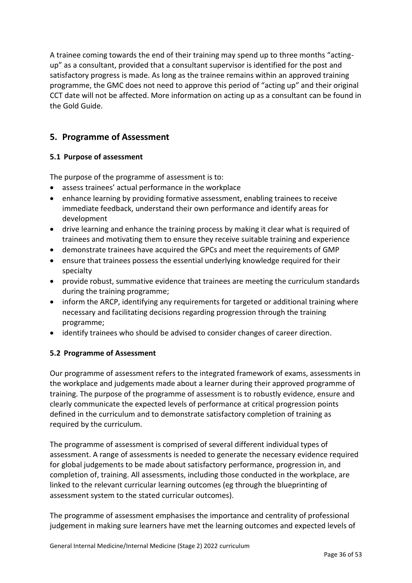A trainee coming towards the end of their training may spend up to three months "actingup" as a consultant, provided that a consultant supervisor is identified for the post and satisfactory progress is made. As long as the trainee remains within an approved training programme, the GMC does not need to approve this period of "acting up" and their original CCT date will not be affected. More information on acting up as a consultant can be found in the Gold Guide.

# <span id="page-35-0"></span>**5. Programme of Assessment**

# <span id="page-35-1"></span>**5.1 Purpose of assessment**

The purpose of the programme of assessment is to:

- assess trainees' actual performance in the workplace
- enhance learning by providing formative assessment, enabling trainees to receive immediate feedback, understand their own performance and identify areas for development
- drive learning and enhance the training process by making it clear what is required of trainees and motivating them to ensure they receive suitable training and experience
- demonstrate trainees have acquired the GPCs and meet the requirements of GMP
- ensure that trainees possess the essential underlying knowledge required for their specialty
- provide robust, summative evidence that trainees are meeting the curriculum standards during the training programme;
- inform the ARCP, identifying any requirements for targeted or additional training where necessary and facilitating decisions regarding progression through the training programme;
- identify trainees who should be advised to consider changes of career direction.

# <span id="page-35-2"></span>**5.2 Programme of Assessment**

Our programme of assessment refers to the integrated framework of exams, assessments in the workplace and judgements made about a learner during their approved programme of training. The purpose of the programme of assessment is to robustly evidence, ensure and clearly communicate the expected levels of performance at critical progression points defined in the curriculum and to demonstrate satisfactory completion of training as required by the curriculum.

The programme of assessment is comprised of several different individual types of assessment. A range of assessments is needed to generate the necessary evidence required for global judgements to be made about satisfactory performance, progression in, and completion of, training. All assessments, including those conducted in the workplace, are linked to the relevant curricular learning outcomes (eg through the blueprinting of assessment system to the stated curricular outcomes).

The programme of assessment emphasises the importance and centrality of professional judgement in making sure learners have met the learning outcomes and expected levels of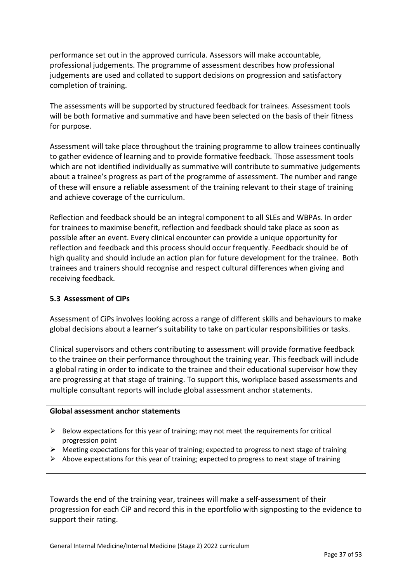performance set out in the approved curricula. Assessors will make accountable, professional judgements. The programme of assessment describes how professional judgements are used and collated to support decisions on progression and satisfactory completion of training.

The assessments will be supported by structured feedback for trainees. Assessment tools will be both formative and summative and have been selected on the basis of their fitness for purpose.

Assessment will take place throughout the training programme to allow trainees continually to gather evidence of learning and to provide formative feedback. Those assessment tools which are not identified individually as summative will contribute to summative judgements about a trainee's progress as part of the programme of assessment. The number and range of these will ensure a reliable assessment of the training relevant to their stage of training and achieve coverage of the curriculum.

Reflection and feedback should be an integral component to all SLEs and WBPAs. In order for trainees to maximise benefit, reflection and feedback should take place as soon as possible after an event. Every clinical encounter can provide a unique opportunity for reflection and feedback and this process should occur frequently. Feedback should be of high quality and should include an action plan for future development for the trainee. Both trainees and trainers should recognise and respect cultural differences when giving and receiving feedback.

### <span id="page-36-0"></span>**5.3 Assessment of CiPs**

Assessment of CiPs involves looking across a range of different skills and behaviours to make global decisions about a learner's suitability to take on particular responsibilities or tasks.

Clinical supervisors and others contributing to assessment will provide formative feedback to the trainee on their performance throughout the training year. This feedback will include a global rating in order to indicate to the trainee and their educational supervisor how they are progressing at that stage of training. To support this, workplace based assessments and multiple consultant reports will include global assessment anchor statements.

#### **Global assessment anchor statements**

- $\triangleright$  Below expectations for this year of training; may not meet the requirements for critical progression point
- $\triangleright$  Meeting expectations for this year of training; expected to progress to next stage of training
- $\triangleright$  Above expectations for this year of training; expected to progress to next stage of training

Towards the end of the training year, trainees will make a self-assessment of their progression for each CiP and record this in the eportfolio with signposting to the evidence to support their rating.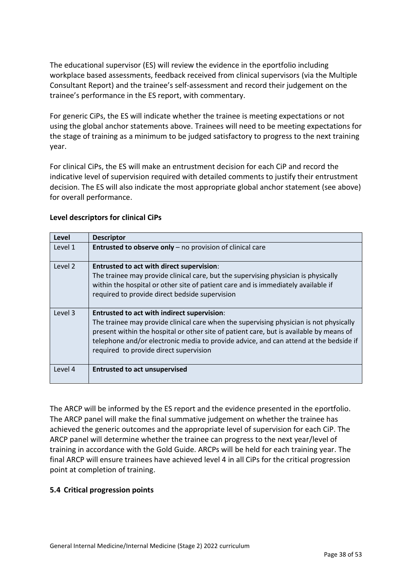The educational supervisor (ES) will review the evidence in the eportfolio including workplace based assessments, feedback received from clinical supervisors (via the Multiple Consultant Report) and the trainee's self-assessment and record their judgement on the trainee's performance in the ES report, with commentary.

For generic CiPs, the ES will indicate whether the trainee is meeting expectations or not using the global anchor statements above. Trainees will need to be meeting expectations for the stage of training as a minimum to be judged satisfactory to progress to the next training year.

For clinical CiPs, the ES will make an entrustment decision for each CiP and record the indicative level of supervision required with detailed comments to justify their entrustment decision. The ES will also indicate the most appropriate global anchor statement (see above) for overall performance.

| Level   | <b>Descriptor</b>                                                                                                                                                                                                                                                                                                                                                   |
|---------|---------------------------------------------------------------------------------------------------------------------------------------------------------------------------------------------------------------------------------------------------------------------------------------------------------------------------------------------------------------------|
| Level 1 | <b>Entrusted to observe only</b> $-$ no provision of clinical care                                                                                                                                                                                                                                                                                                  |
| Level 2 | <b>Entrusted to act with direct supervision:</b><br>The trainee may provide clinical care, but the supervising physician is physically<br>within the hospital or other site of patient care and is immediately available if<br>required to provide direct bedside supervision                                                                                       |
| Level 3 | Entrusted to act with indirect supervision:<br>The trainee may provide clinical care when the supervising physician is not physically<br>present within the hospital or other site of patient care, but is available by means of<br>telephone and/or electronic media to provide advice, and can attend at the bedside if<br>required to provide direct supervision |
| Level 4 | <b>Entrusted to act unsupervised</b>                                                                                                                                                                                                                                                                                                                                |

# **Level descriptors for clinical CiPs**

The ARCP will be informed by the ES report and the evidence presented in the eportfolio. The ARCP panel will make the final summative judgement on whether the trainee has achieved the generic outcomes and the appropriate level of supervision for each CiP. The ARCP panel will determine whether the trainee can progress to the next year/level of training in accordance with the Gold Guide. ARCPs will be held for each training year. The final ARCP will ensure trainees have achieved level 4 in all CiPs for the critical progression point at completion of training.

# <span id="page-37-0"></span>**5.4 Critical progression points**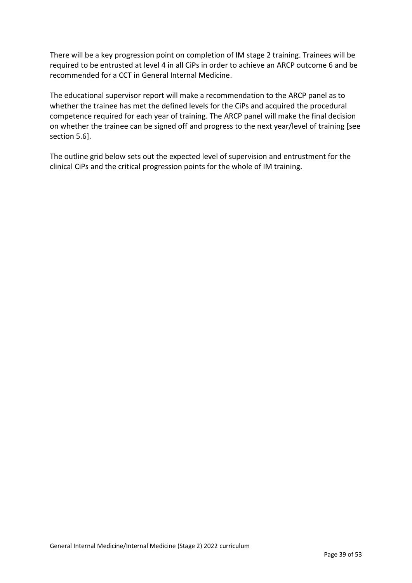There will be a key progression point on completion of IM stage 2 training. Trainees will be required to be entrusted at level 4 in all CiPs in order to achieve an ARCP outcome 6 and be recommended for a CCT in General Internal Medicine.

The educational supervisor report will make a recommendation to the ARCP panel as to whether the trainee has met the defined levels for the CiPs and acquired the procedural competence required for each year of training. The ARCP panel will make the final decision on whether the trainee can be signed off and progress to the next year/level of training [see section 5.6].

The outline grid below sets out the expected level of supervision and entrustment for the clinical CiPs and the critical progression points for the whole of IM training.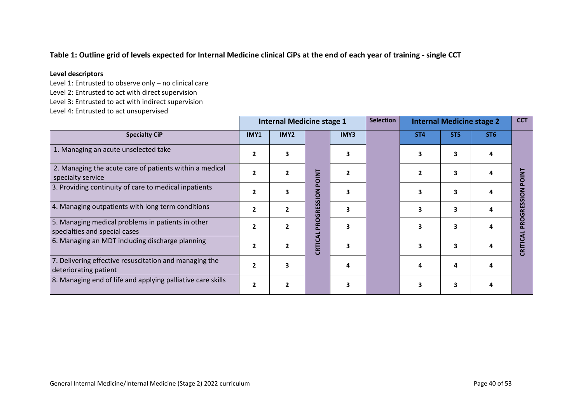# **Table 1: Outline grid of levels expected for Internal Medicine clinical CiPs at the end of each year of training - single CCT**

#### **Level descriptors**

Level 1: Entrusted to observe only – no clinical care

Level 2: Entrusted to act with direct supervision

Level 3: Entrusted to act with indirect supervision

Level 4: Entrusted to act unsupervised

|                                                                                    | <b>Internal Medicine stage 1</b> |                          |                             |      | <b>Selection</b> | <b>Internal Medicine stage 2</b> |                 |                 | <b>CCT</b>                     |
|------------------------------------------------------------------------------------|----------------------------------|--------------------------|-----------------------------|------|------------------|----------------------------------|-----------------|-----------------|--------------------------------|
| <b>Specialty CiP</b>                                                               | IMY1                             | IMY2                     |                             | IMY3 |                  | ST <sub>4</sub>                  | ST <sub>5</sub> | ST <sub>6</sub> |                                |
| 1. Managing an acute unselected take                                               | $\overline{2}$                   | $\mathbf{3}$             |                             |      |                  | 3                                | 3               |                 |                                |
| 2. Managing the acute care of patients within a medical<br>specialty service       | $\overline{2}$                   | $\overline{\phantom{a}}$ | <b>DINT</b>                 |      |                  | $\mathbf{2}$                     | 3               |                 | <u>E</u>                       |
| 3. Providing continuity of care to medical inpatients                              | $\overline{2}$                   | 3                        | $\overline{6}$<br><u> ಕ</u> |      |                  | 3                                | 3               |                 | $\mathsf{S}_{\mathsf{S}}$<br>S |
| 4. Managing outpatients with long term conditions                                  | $\overline{2}$                   | $\overline{\phantom{a}}$ | RES:<br>ច                   |      |                  | 3                                | 3               |                 | n<br>딽<br>O                    |
| 5. Managing medical problems in patients in other<br>specialties and special cases | $\overline{2}$                   | $\overline{\phantom{a}}$ | <b>PRO</b>                  |      |                  | 3                                | 3               |                 | O<br>혼                         |
| 6. Managing an MDT including discharge planning                                    | $\overline{2}$                   |                          | CRTIC                       |      |                  | 3                                | 3               |                 | CRIT                           |
| 7. Delivering effective resuscitation and managing the<br>deteriorating patient    | $\overline{2}$                   | 3                        |                             |      |                  | Δ                                | 4               |                 |                                |
| 8. Managing end of life and applying palliative care skills                        | $\overline{2}$                   | $\overline{2}$           |                             |      |                  | 3                                | 3               |                 |                                |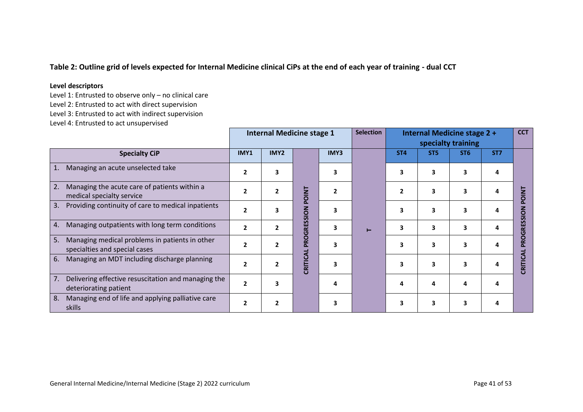# **Table 2: Outline grid of levels expected for Internal Medicine clinical CiPs at the end of each year of training - dual CCT**

#### **Level descriptors**

Level 1: Entrusted to observe only – no clinical care

Level 2: Entrusted to act with direct supervision

Level 3: Entrusted to act with indirect supervision

Level 4: Entrusted to act unsupervised

|                                                                                       | <b>Internal Medicine stage 1</b> |                |              |                | <b>Selection</b> |                 |                 | Internal Medicine stage 2 +<br>specialty training |                 | <b>CCT</b>           |
|---------------------------------------------------------------------------------------|----------------------------------|----------------|--------------|----------------|------------------|-----------------|-----------------|---------------------------------------------------|-----------------|----------------------|
| <b>Specialty CiP</b>                                                                  | IMY1                             | IMY2           |              | IMY3           |                  | ST <sub>4</sub> | ST <sub>5</sub> | ST <sub>6</sub>                                   | ST <sub>7</sub> |                      |
| Managing an acute unselected take                                                     | $\mathbf{2}$                     | 3              |              | 3              |                  | 3               | 3               | 3                                                 | 4               |                      |
| Managing the acute care of patients within a<br>2.<br>medical specialty service       | $\overline{2}$                   | $\mathbf{2}$   | <b>POINT</b> | $\overline{2}$ |                  | $\overline{2}$  | 3               | 3                                                 | 4               | $\mathsf{z}$<br>r    |
| Providing continuity of care to medical inpatients<br>3.                              | $\overline{2}$                   | 3              |              | 3              |                  | 3               | 3               | 3                                                 | 4               | O                    |
| Managing outpatients with long term conditions<br>4.                                  | $\overline{2}$                   | $\mathbf{2}$   | PROGRESSION  | 3              | Н                | 3               | 3               | 3                                                 | 4               | $\alpha$<br>$\sigma$ |
| Managing medical problems in patients in other<br>5.<br>specialties and special cases | $\overline{2}$                   | $\mathbf{2}$   |              | 3              |                  | 3               | 3               | 3                                                 | 4               |                      |
| 6.<br>Managing an MDT including discharge planning                                    | $\overline{2}$                   | $\overline{2}$ | CRITICA      | 3              |                  | 3               | 3               | $\overline{\mathbf{3}}$                           | Δ               | <b>ERITI</b>         |
| 7.<br>Delivering effective resuscitation and managing the<br>deteriorating patient    | $\overline{2}$                   | 3              |              | 4              |                  | 4               | 4               | 4                                                 | 4               |                      |
| 8.<br>Managing end of life and applying palliative care<br>skills                     | $\mathbf{2}$                     | $\mathbf{2}$   |              | 3              |                  | 3               | 3               | 3                                                 | 4               |                      |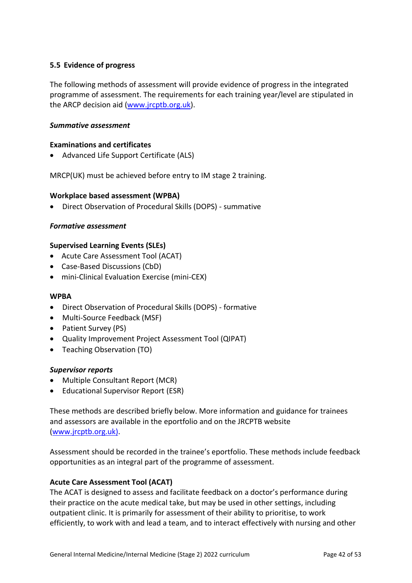# <span id="page-41-0"></span>**5.5 Evidence of progress**

The following methods of assessment will provide evidence of progress in the integrated programme of assessment. The requirements for each training year/level are stipulated in the ARCP decision aid [\(www.jrcptb.org.uk\)](http://www.jrcptb.org.uk/).

#### *Summative assessment*

#### **Examinations and certificates**

• Advanced Life Support Certificate (ALS)

MRCP(UK) must be achieved before entry to IM stage 2 training.

#### **Workplace based assessment (WPBA)**

• Direct Observation of Procedural Skills (DOPS) - summative

#### *Formative assessment*

#### **Supervised Learning Events (SLEs)**

- Acute Care Assessment Tool (ACAT)
- Case-Based Discussions (CbD)
- mini-Clinical Evaluation Exercise (mini-CEX)

#### **WPBA**

- Direct Observation of Procedural Skills (DOPS) formative
- Multi-Source Feedback (MSF)
- Patient Survey (PS)
- Quality Improvement Project Assessment Tool (QIPAT)
- Teaching Observation (TO)

#### *Supervisor reports*

- Multiple Consultant Report (MCR)
- Educational Supervisor Report (ESR)

These methods are described briefly below. More information and guidance for trainees and assessors are available in the eportfolio and on the JRCPTB website [\(www.jrcptb.org.uk\)](http://www.jrcptb.org.uk/).

Assessment should be recorded in the trainee's eportfolio. These methods include feedback opportunities as an integral part of the programme of assessment.

#### **Acute Care Assessment Tool (ACAT)**

The ACAT is designed to assess and facilitate feedback on a doctor's performance during their practice on the acute medical take, but may be used in other settings, including outpatient clinic. It is primarily for assessment of their ability to prioritise, to work efficiently, to work with and lead a team, and to interact effectively with nursing and other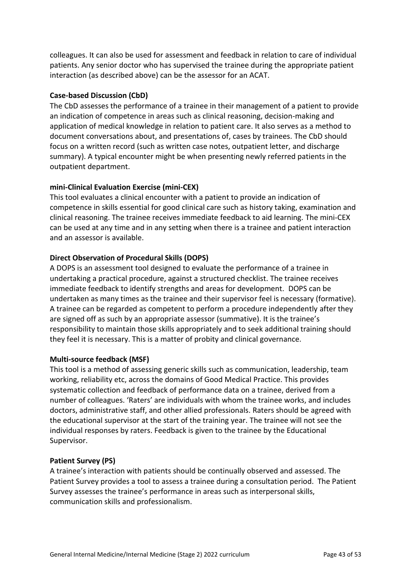colleagues. It can also be used for assessment and feedback in relation to care of individual patients. Any senior doctor who has supervised the trainee during the appropriate patient interaction (as described above) can be the assessor for an ACAT.

### **Case-based Discussion (CbD)**

The CbD assesses the performance of a trainee in their management of a patient to provide an indication of competence in areas such as clinical reasoning, decision-making and application of medical knowledge in relation to patient care. It also serves as a method to document conversations about, and presentations of, cases by trainees. The CbD should focus on a written record (such as written case notes, outpatient letter, and discharge summary). A typical encounter might be when presenting newly referred patients in the outpatient department.

# **mini-Clinical Evaluation Exercise (mini-CEX)**

This tool evaluates a clinical encounter with a patient to provide an indication of competence in skills essential for good clinical care such as history taking, examination and clinical reasoning. The trainee receives immediate feedback to aid learning. The mini-CEX can be used at any time and in any setting when there is a trainee and patient interaction and an assessor is available.

# **Direct Observation of Procedural Skills (DOPS)**

A DOPS is an assessment tool designed to evaluate the performance of a trainee in undertaking a practical procedure, against a structured checklist. The trainee receives immediate feedback to identify strengths and areas for development. DOPS can be undertaken as many times as the trainee and their supervisor feel is necessary (formative). A trainee can be regarded as competent to perform a procedure independently after they are signed off as such by an appropriate assessor (summative). It is the trainee's responsibility to maintain those skills appropriately and to seek additional training should they feel it is necessary. This is a matter of probity and clinical governance.

### **Multi-source feedback (MSF)**

This tool is a method of assessing generic skills such as communication, leadership, team working, reliability etc, across the domains of Good Medical Practice. This provides systematic collection and feedback of performance data on a trainee, derived from a number of colleagues. 'Raters' are individuals with whom the trainee works, and includes doctors, administrative staff, and other allied professionals. Raters should be agreed with the educational supervisor at the start of the training year. The trainee will not see the individual responses by raters. Feedback is given to the trainee by the Educational Supervisor.

### **Patient Survey (PS)**

A trainee's interaction with patients should be continually observed and assessed. The Patient Survey provides a tool to assess a trainee during a consultation period. The Patient Survey assesses the trainee's performance in areas such as interpersonal skills, communication skills and professionalism.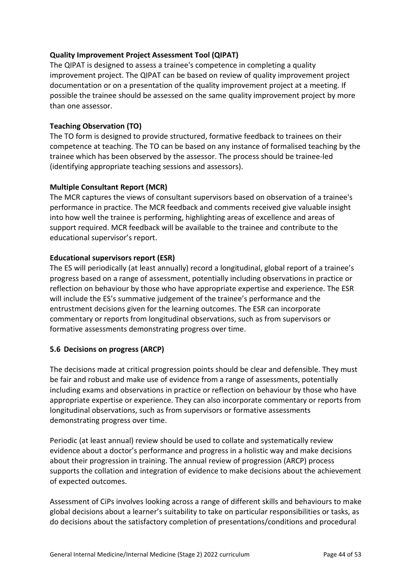# **Quality Improvement Project Assessment Tool (QIPAT)**

The QIPAT is designed to assess a trainee's competence in completing a quality improvement project. The QIPAT can be based on review of quality improvement project documentation or on a presentation of the quality improvement project at a meeting. If possible the trainee should be assessed on the same quality improvement project by more than one assessor.

### **Teaching Observation (TO)**

The TO form is designed to provide structured, formative feedback to trainees on their competence at teaching. The TO can be based on any instance of formalised teaching by the trainee which has been observed by the assessor. The process should be trainee-led (identifying appropriate teaching sessions and assessors).

### **Multiple Consultant Report (MCR)**

The MCR captures the views of consultant supervisors based on observation of a trainee's performance in practice. The MCR feedback and comments received give valuable insight into how well the trainee is performing, highlighting areas of excellence and areas of support required. MCR feedback will be available to the trainee and contribute to the educational supervisor's report.

### **Educational supervisors report (ESR)**

The ES will periodically (at least annually) record a longitudinal, global report of a trainee's progress based on a range of assessment, potentially including observations in practice or reflection on behaviour by those who have appropriate expertise and experience. The ESR will include the ES's summative judgement of the trainee's performance and the entrustment decisions given for the learning outcomes. The ESR can incorporate commentary or reports from longitudinal observations, such as from supervisors or formative assessments demonstrating progress over time.

### <span id="page-43-0"></span>**5.6 Decisions on progress (ARCP)**

The decisions made at critical progression points should be clear and defensible. They must be fair and robust and make use of evidence from a range of assessments, potentially including exams and observations in practice or reflection on behaviour by those who have appropriate expertise or experience. They can also incorporate commentary or reports from longitudinal observations, such as from supervisors or formative assessments demonstrating progress over time.

Periodic (at least annual) review should be used to collate and systematically review evidence about a doctor's performance and progress in a holistic way and make decisions about their progression in training. The annual review of progression (ARCP) process supports the collation and integration of evidence to make decisions about the achievement of expected outcomes.

Assessment of CiPs involves looking across a range of different skills and behaviours to make global decisions about a learner's suitability to take on particular responsibilities or tasks, as do decisions about the satisfactory completion of presentations/conditions and procedural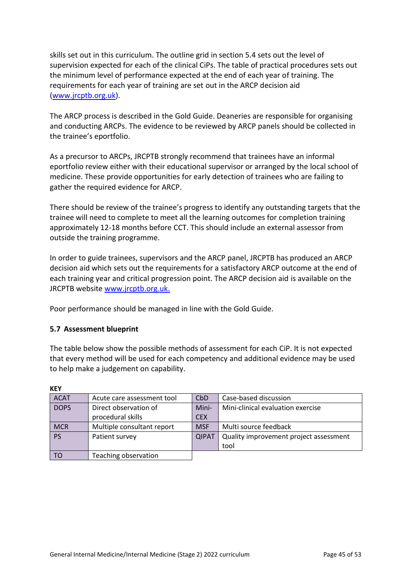skills set out in this curriculum. The outline grid in section 5.4 sets out the level of supervision expected for each of the clinical CiPs. The table of practical procedures sets out the minimum level of performance expected at the end of each year of training. The requirements for each year of training are set out in the ARCP decision aid [\(www.jrcptb.org.uk\)](http://www.jrcptb.org.uk/).

The ARCP process is described in the Gold Guide. Deaneries are responsible for organising and conducting ARCPs. The evidence to be reviewed by ARCP panels should be collected in the trainee's eportfolio.

As a precursor to ARCPs, JRCPTB strongly recommend that trainees have an informal eportfolio review either with their educational supervisor or arranged by the local school of medicine. These provide opportunities for early detection of trainees who are failing to gather the required evidence for ARCP.

There should be review of the trainee's progress to identify any outstanding targets that the trainee will need to complete to meet all the learning outcomes for completion training approximately 12-18 months before CCT. This should include an external assessor from outside the training programme.

In order to guide trainees, supervisors and the ARCP panel, JRCPTB has produced an ARCP decision aid which sets out the requirements for a satisfactory ARCP outcome at the end of each training year and critical progression point. The ARCP decision aid is available on the JRCPTB website [www.jrcptb.org.uk.](http://www.jrcptb.org.uk/)

Poor performance should be managed in line with the Gold Guide.

### <span id="page-44-0"></span>**5.7 Assessment blueprint**

The table below show the possible methods of assessment for each CiP. It is not expected that every method will be used for each competency and additional evidence may be used to help make a judgement on capability.

| <b>ACAT</b> | Acute care assessment tool | CbD          | Case-based discussion                  |
|-------------|----------------------------|--------------|----------------------------------------|
| <b>DOPS</b> | Direct observation of      | Mini-        | Mini-clinical evaluation exercise      |
|             | procedural skills          | <b>CEX</b>   |                                        |
| <b>MCR</b>  | Multiple consultant report | <b>MSF</b>   | Multi source feedback                  |
| <b>PS</b>   | Patient survey             | <b>QIPAT</b> | Quality improvement project assessment |
|             |                            |              | tool                                   |
| TO          | Teaching observation       |              |                                        |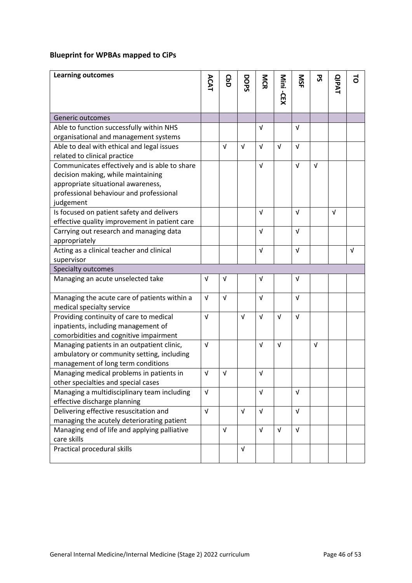# **Blueprint for WPBAs mapped to CiPs**

| <b>Learning outcomes</b>                      |            | <b>GbD</b> | DOPS       | MCR        |            | <b>NSF</b> | 59         |              | ನ          |
|-----------------------------------------------|------------|------------|------------|------------|------------|------------|------------|--------------|------------|
|                                               | ACAT       |            |            |            | Mini -CEX  |            |            | <b>QIPAT</b> |            |
|                                               |            |            |            |            |            |            |            |              |            |
| Generic outcomes                              |            |            |            |            |            |            |            |              |            |
| Able to function successfully within NHS      |            |            |            | v          |            | $\sqrt{ }$ |            |              |            |
| organisational and management systems         |            |            |            |            |            |            |            |              |            |
| Able to deal with ethical and legal issues    |            | $\sqrt{ }$ | $\sqrt{ }$ | $\sqrt{ }$ | $\sqrt{ }$ | $\sqrt{ }$ |            |              |            |
| related to clinical practice                  |            |            |            |            |            |            |            |              |            |
| Communicates effectively and is able to share |            |            |            | V          |            | $\sqrt{ }$ | $\sqrt{ }$ |              |            |
| decision making, while maintaining            |            |            |            |            |            |            |            |              |            |
| appropriate situational awareness,            |            |            |            |            |            |            |            |              |            |
| professional behaviour and professional       |            |            |            |            |            |            |            |              |            |
| judgement                                     |            |            |            |            |            |            |            |              |            |
| Is focused on patient safety and delivers     |            |            |            | $\sqrt{ }$ |            | $\sqrt{ }$ |            | $\sqrt{ }$   |            |
| effective quality improvement in patient care |            |            |            |            |            |            |            |              |            |
| Carrying out research and managing data       |            |            |            | $\sqrt{ }$ |            | $\sqrt{ }$ |            |              |            |
| appropriately                                 |            |            |            |            |            |            |            |              |            |
| Acting as a clinical teacher and clinical     |            |            |            | $\sqrt{ }$ |            | $\sqrt{ }$ |            |              | $\sqrt{ }$ |
| supervisor                                    |            |            |            |            |            |            |            |              |            |
| Specialty outcomes                            |            |            |            |            |            |            |            |              |            |
| Managing an acute unselected take             | $\sqrt{ }$ | $\sqrt{ }$ |            | V          |            | $\sqrt{ }$ |            |              |            |
|                                               |            |            |            |            |            |            |            |              |            |
| Managing the acute care of patients within a  | $\sqrt{ }$ | $\sqrt{ }$ |            | V          |            | V          |            |              |            |
| medical specialty service                     |            |            |            |            |            |            |            |              |            |
| Providing continuity of care to medical       | $\sqrt{ }$ |            | $\sqrt{ }$ | $\sqrt{ }$ | $\sqrt{ }$ | $\sqrt{ }$ |            |              |            |
| inpatients, including management of           |            |            |            |            |            |            |            |              |            |
| comorbidities and cognitive impairment        |            |            |            |            |            |            |            |              |            |
| Managing patients in an outpatient clinic,    | $\sqrt{ }$ |            |            | $\sqrt{ }$ | $\sqrt{ }$ |            | V          |              |            |
| ambulatory or community setting, including    |            |            |            |            |            |            |            |              |            |
| management of long term conditions            |            |            |            |            |            |            |            |              |            |
| Managing medical problems in patients in      | $\sqrt{ }$ | V          |            | V          |            |            |            |              |            |
| other specialties and special cases           |            |            |            |            |            |            |            |              |            |
| Managing a multidisciplinary team including   | $\sqrt{ }$ |            |            | $\sqrt{ }$ |            | $\sqrt{ }$ |            |              |            |
| effective discharge planning                  |            |            |            |            |            |            |            |              |            |
| Delivering effective resuscitation and        | $\sqrt{ }$ |            | $\sqrt{ }$ | $\sqrt{ }$ |            | $\sqrt{ }$ |            |              |            |
| managing the acutely deteriorating patient    |            |            |            |            |            |            |            |              |            |
| Managing end of life and applying palliative  |            | $\sqrt{ }$ |            | $\sqrt{ }$ | $\sqrt{ }$ | $\sqrt{ }$ |            |              |            |
| care skills                                   |            |            |            |            |            |            |            |              |            |
| Practical procedural skills                   |            |            | $\sqrt{ }$ |            |            |            |            |              |            |
|                                               |            |            |            |            |            |            |            |              |            |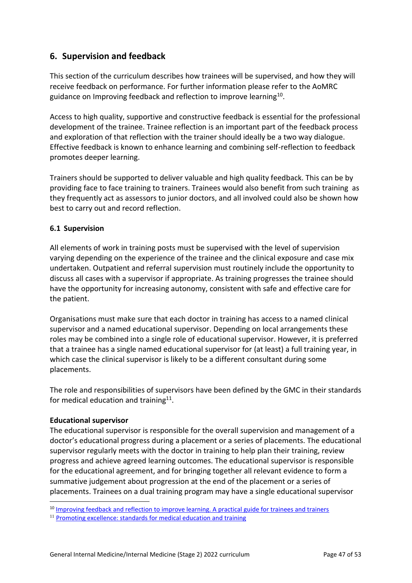# <span id="page-46-0"></span>**6. Supervision and feedback**

This section of the curriculum describes how trainees will be supervised, and how they will receive feedback on performance. For further information please refer to the AoMRC guidance on Improving feedback and reflection to improve learning<sup>10</sup>.

Access to high quality, supportive and constructive feedback is essential for the professional development of the trainee. Trainee reflection is an important part of the feedback process and exploration of that reflection with the trainer should ideally be a two way dialogue. Effective feedback is known to enhance learning and combining self-reflection to feedback promotes deeper learning.

Trainers should be supported to deliver valuable and high quality feedback. This can be by providing face to face training to trainers. Trainees would also benefit from such training as they frequently act as assessors to junior doctors, and all involved could also be shown how best to carry out and record reflection.

# <span id="page-46-1"></span>**6.1 Supervision**

All elements of work in training posts must be supervised with the level of supervision varying depending on the experience of the trainee and the clinical exposure and case mix undertaken. Outpatient and referral supervision must routinely include the opportunity to discuss all cases with a supervisor if appropriate. As training progresses the trainee should have the opportunity for increasing autonomy, consistent with safe and effective care for the patient.

Organisations must make sure that each doctor in training has access to a named clinical supervisor and a named educational supervisor. Depending on local arrangements these roles may be combined into a single role of educational supervisor. However, it is preferred that a trainee has a single named educational supervisor for (at least) a full training year, in which case the clinical supervisor is likely to be a different consultant during some placements.

The role and responsibilities of supervisors have been defined by the GMC in their standards for medical education and training $^{11}$ .

### **Educational supervisor**

The educational supervisor is responsible for the overall supervision and management of a doctor's educational progress during a placement or a series of placements. The educational supervisor regularly meets with the doctor in training to help plan their training, review progress and achieve agreed learning outcomes. The educational supervisor is responsible for the educational agreement, and for bringing together all relevant evidence to form a summative judgement about progression at the end of the placement or a series of placements. Trainees on a dual training program may have a single educational supervisor

<sup>&</sup>lt;sup>10</sup> [Improving feedback and reflection to improve learning. A practical guide for trainees and trainers](http://www.aomrc.org.uk/publications/reports-guidance/improving-feedback-reflection-improve-learning-practical-guide-trainees-trainers/)

<sup>&</sup>lt;sup>11</sup> [Promoting excellence: standards for medical education and training](http://www.gmc-uk.org/education/standards.asp)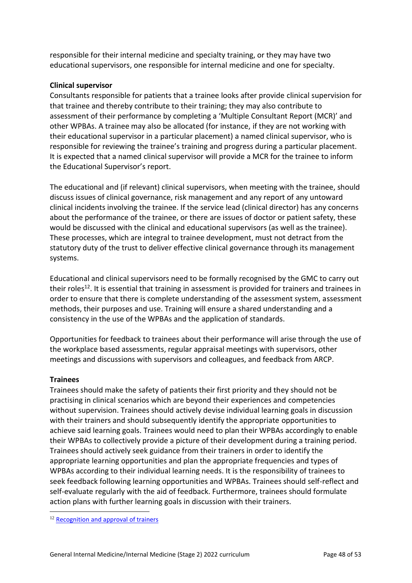responsible for their internal medicine and specialty training, or they may have two educational supervisors, one responsible for internal medicine and one for specialty.

# **Clinical supervisor**

Consultants responsible for patients that a trainee looks after provide clinical supervision for that trainee and thereby contribute to their training; they may also contribute to assessment of their performance by completing a 'Multiple Consultant Report (MCR)' and other WPBAs. A trainee may also be allocated (for instance, if they are not working with their educational supervisor in a particular placement) a named clinical supervisor, who is responsible for reviewing the trainee's training and progress during a particular placement. It is expected that a named clinical supervisor will provide a MCR for the trainee to inform the Educational Supervisor's report.

The educational and (if relevant) clinical supervisors, when meeting with the trainee, should discuss issues of clinical governance, risk management and any report of any untoward clinical incidents involving the trainee. If the service lead (clinical director) has any concerns about the performance of the trainee, or there are issues of doctor or patient safety, these would be discussed with the clinical and educational supervisors (as well as the trainee). These processes, which are integral to trainee development, must not detract from the statutory duty of the trust to deliver effective clinical governance through its management systems.

Educational and clinical supervisors need to be formally recognised by the GMC to carry out their roles<sup>12</sup>. It is essential that training in assessment is provided for trainers and trainees in order to ensure that there is complete understanding of the assessment system, assessment methods, their purposes and use. Training will ensure a shared understanding and a consistency in the use of the WPBAs and the application of standards.

Opportunities for feedback to trainees about their performance will arise through the use of the workplace based assessments, regular appraisal meetings with supervisors, other meetings and discussions with supervisors and colleagues, and feedback from ARCP.

### **Trainees**

Trainees should make the safety of patients their first priority and they should not be practising in clinical scenarios which are beyond their experiences and competencies without supervision. Trainees should actively devise individual learning goals in discussion with their trainers and should subsequently identify the appropriate opportunities to achieve said learning goals. Trainees would need to plan their WPBAs accordingly to enable their WPBAs to collectively provide a picture of their development during a training period. Trainees should actively seek guidance from their trainers in order to identify the appropriate learning opportunities and plan the appropriate frequencies and types of WPBAs according to their individual learning needs. It is the responsibility of trainees to seek feedback following learning opportunities and WPBAs. Trainees should self-reflect and self-evaluate regularly with the aid of feedback. Furthermore, trainees should formulate action plans with further learning goals in discussion with their trainers.

<sup>&</sup>lt;sup>12</sup> [Recognition and approval of trainers](http://www.gmc-uk.org/education/10264.asp)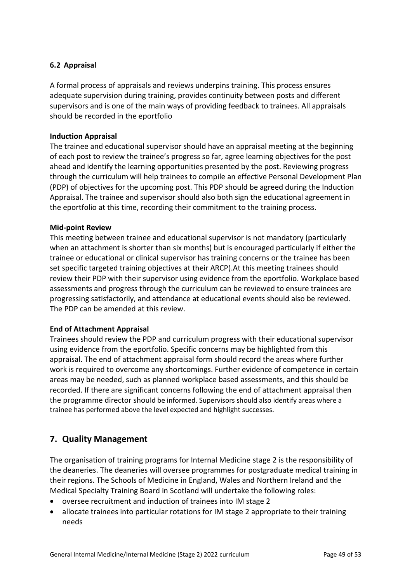# <span id="page-48-0"></span>**6.2 Appraisal**

A formal process of appraisals and reviews underpins training. This process ensures adequate supervision during training, provides continuity between posts and different supervisors and is one of the main ways of providing feedback to trainees. All appraisals should be recorded in the eportfolio

#### **Induction Appraisal**

The trainee and educational supervisor should have an appraisal meeting at the beginning of each post to review the trainee's progress so far, agree learning objectives for the post ahead and identify the learning opportunities presented by the post. Reviewing progress through the curriculum will help trainees to compile an effective Personal Development Plan (PDP) of objectives for the upcoming post. This PDP should be agreed during the Induction Appraisal. The trainee and supervisor should also both sign the educational agreement in the eportfolio at this time, recording their commitment to the training process.

#### **Mid-point Review**

This meeting between trainee and educational supervisor is not mandatory (particularly when an attachment is shorter than six months) but is encouraged particularly if either the trainee or educational or clinical supervisor has training concerns or the trainee has been set specific targeted training objectives at their ARCP).At this meeting trainees should review their PDP with their supervisor using evidence from the eportfolio. Workplace based assessments and progress through the curriculum can be reviewed to ensure trainees are progressing satisfactorily, and attendance at educational events should also be reviewed. The PDP can be amended at this review.

#### **End of Attachment Appraisal**

Trainees should review the PDP and curriculum progress with their educational supervisor using evidence from the eportfolio. Specific concerns may be highlighted from this appraisal. The end of attachment appraisal form should record the areas where further work is required to overcome any shortcomings. Further evidence of competence in certain areas may be needed, such as planned workplace based assessments, and this should be recorded. If there are significant concerns following the end of attachment appraisal then the programme director should be informed. Supervisors should also identify areas where a trainee has performed above the level expected and highlight successes.

# <span id="page-48-1"></span>**7. Quality Management**

The organisation of training programs for Internal Medicine stage 2 is the responsibility of the deaneries. The deaneries will oversee programmes for postgraduate medical training in their regions. The Schools of Medicine in England, Wales and Northern Ireland and the Medical Specialty Training Board in Scotland will undertake the following roles:

- oversee recruitment and induction of trainees into IM stage 2
- allocate trainees into particular rotations for IM stage 2 appropriate to their training needs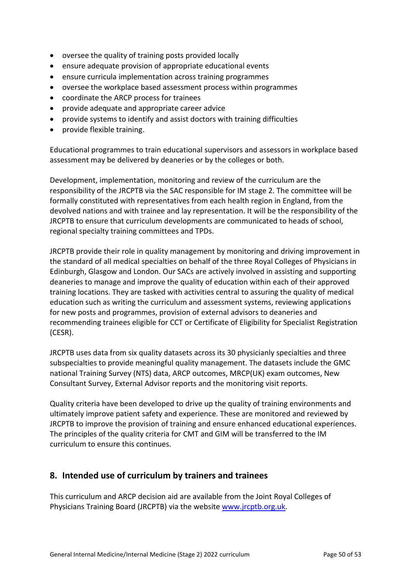- oversee the quality of training posts provided locally
- ensure adequate provision of appropriate educational events
- ensure curricula implementation across training programmes
- oversee the workplace based assessment process within programmes
- coordinate the ARCP process for trainees
- provide adequate and appropriate career advice
- provide systems to identify and assist doctors with training difficulties
- provide flexible training.

Educational programmes to train educational supervisors and assessors in workplace based assessment may be delivered by deaneries or by the colleges or both.

Development, implementation, monitoring and review of the curriculum are the responsibility of the JRCPTB via the SAC responsible for IM stage 2. The committee will be formally constituted with representatives from each health region in England, from the devolved nations and with trainee and lay representation. It will be the responsibility of the JRCPTB to ensure that curriculum developments are communicated to heads of school, regional specialty training committees and TPDs.

JRCPTB provide their role in quality management by monitoring and driving improvement in the standard of all medical specialties on behalf of the three Royal Colleges of Physicians in Edinburgh, Glasgow and London. Our SACs are actively involved in assisting and supporting deaneries to manage and improve the quality of education within each of their approved training locations. They are tasked with activities central to assuring the quality of medical education such as writing the curriculum and assessment systems, reviewing applications for new posts and programmes, provision of external advisors to deaneries and recommending trainees eligible for CCT or Certificate of Eligibility for Specialist Registration (CESR).

JRCPTB uses data from six quality datasets across its 30 physicianly specialties and three subspecialties to provide meaningful quality management. The datasets include the GMC national Training Survey (NTS) data, ARCP outcomes, MRCP(UK) exam outcomes, New Consultant Survey, External Advisor reports and the monitoring visit reports.

Quality criteria have been developed to drive up the quality of training environments and ultimately improve patient safety and experience. These are monitored and reviewed by JRCPTB to improve the provision of training and ensure enhanced educational experiences. The principles of the quality criteria for CMT and GIM will be transferred to the IM curriculum to ensure this continues.

# <span id="page-49-0"></span>**8. Intended use of curriculum by trainers and trainees**

This curriculum and ARCP decision aid are available from the Joint Royal Colleges of Physicians Training Board (JRCPTB) via the websit[e www.jrcptb.org.uk.](http://www.jrcptb.org.uk/)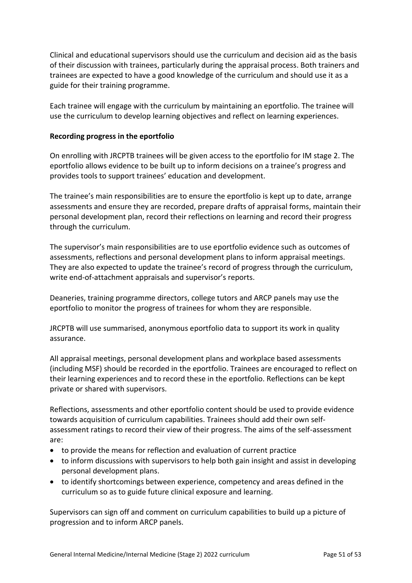Clinical and educational supervisors should use the curriculum and decision aid as the basis of their discussion with trainees, particularly during the appraisal process. Both trainers and trainees are expected to have a good knowledge of the curriculum and should use it as a guide for their training programme.

Each trainee will engage with the curriculum by maintaining an eportfolio. The trainee will use the curriculum to develop learning objectives and reflect on learning experiences.

### **Recording progress in the eportfolio**

On enrolling with JRCPTB trainees will be given access to the eportfolio for IM stage 2. The eportfolio allows evidence to be built up to inform decisions on a trainee's progress and provides tools to support trainees' education and development.

The trainee's main responsibilities are to ensure the eportfolio is kept up to date, arrange assessments and ensure they are recorded, prepare drafts of appraisal forms, maintain their personal development plan, record their reflections on learning and record their progress through the curriculum.

The supervisor's main responsibilities are to use eportfolio evidence such as outcomes of assessments, reflections and personal development plans to inform appraisal meetings. They are also expected to update the trainee's record of progress through the curriculum, write end-of-attachment appraisals and supervisor's reports.

Deaneries, training programme directors, college tutors and ARCP panels may use the eportfolio to monitor the progress of trainees for whom they are responsible.

JRCPTB will use summarised, anonymous eportfolio data to support its work in quality assurance.

All appraisal meetings, personal development plans and workplace based assessments (including MSF) should be recorded in the eportfolio. Trainees are encouraged to reflect on their learning experiences and to record these in the eportfolio. Reflections can be kept private or shared with supervisors.

Reflections, assessments and other eportfolio content should be used to provide evidence towards acquisition of curriculum capabilities. Trainees should add their own selfassessment ratings to record their view of their progress. The aims of the self-assessment are:

- to provide the means for reflection and evaluation of current practice
- to inform discussions with supervisors to help both gain insight and assist in developing personal development plans.
- to identify shortcomings between experience, competency and areas defined in the curriculum so as to guide future clinical exposure and learning.

Supervisors can sign off and comment on curriculum capabilities to build up a picture of progression and to inform ARCP panels.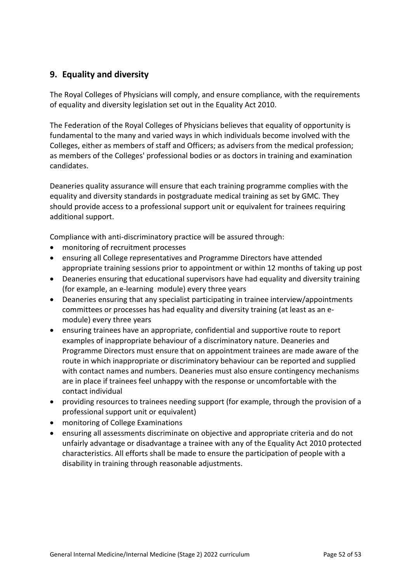# <span id="page-51-0"></span>**9. Equality and diversity**

The Royal Colleges of Physicians will comply, and ensure compliance, with the requirements of equality and diversity legislation set out in the Equality Act 2010.

The Federation of the Royal Colleges of Physicians believes that equality of opportunity is fundamental to the many and varied ways in which individuals become involved with the Colleges, either as members of staff and Officers; as advisers from the medical profession; as members of the Colleges' professional bodies or as doctors in training and examination candidates.

Deaneries quality assurance will ensure that each training programme complies with the equality and diversity standards in postgraduate medical training as set by GMC. They should provide access to a professional support unit or equivalent for trainees requiring additional support.

Compliance with anti-discriminatory practice will be assured through:

- monitoring of recruitment processes
- ensuring all College representatives and Programme Directors have attended appropriate training sessions prior to appointment or within 12 months of taking up post
- Deaneries ensuring that educational supervisors have had equality and diversity training (for example, an e-learning module) every three years
- Deaneries ensuring that any specialist participating in trainee interview/appointments committees or processes has had equality and diversity training (at least as an emodule) every three years
- ensuring trainees have an appropriate, confidential and supportive route to report examples of inappropriate behaviour of a discriminatory nature. Deaneries and Programme Directors must ensure that on appointment trainees are made aware of the route in which inappropriate or discriminatory behaviour can be reported and supplied with contact names and numbers. Deaneries must also ensure contingency mechanisms are in place if trainees feel unhappy with the response or uncomfortable with the contact individual
- providing resources to trainees needing support (for example, through the provision of a professional support unit or equivalent)
- monitoring of College Examinations
- ensuring all assessments discriminate on objective and appropriate criteria and do not unfairly advantage or disadvantage a trainee with any of the Equality Act 2010 protected characteristics. All efforts shall be made to ensure the participation of people with a disability in training through reasonable adjustments.